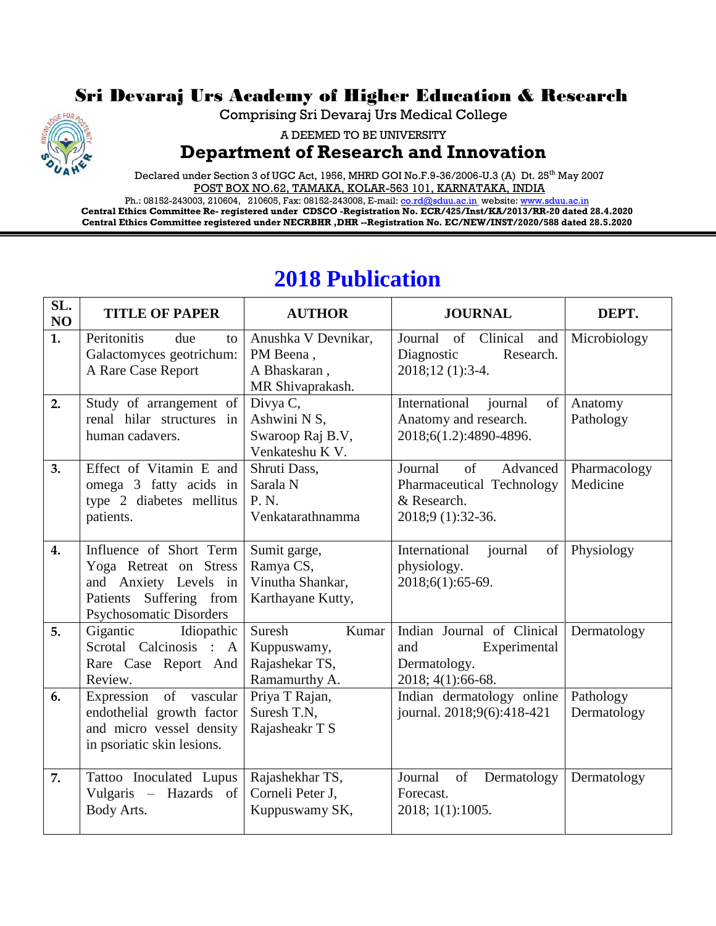## Sri Devaraj Urs Academy of Higher Education & Research



Comprising Sri Devaraj Urs Medical College

A DEEMED TO BE UNIVERSITY

## **Department of Research and Innovation**

Declared under Section 3 of UGC Act, 1956, MHRD GOI No.F.9-36/2006-U.3 (A) Dt. 25<sup>th</sup> May 2007 POST BOX NO.62, TAMAKA, KOLAR-563 101, KARNATAKA, INDIA

Ph.: 08152-243003, 210604, 210605, Fax: 08152-243008, E-mail[: co.rd@sduu.ac.in](mailto:co.rd@sduu.ac.in) website[: www.sduu.ac.in](http://www.sduu.ac.in/) **Central Ethics Committee Re- registered under CDSCO -Registration No. ECR/425/Inst/KA/2013/RR-20 dated 28.4.2020 Central Ethics Committee registered under NECRBHR ,DHR --Registration No. EC/NEW/INST/2020/588 dated 28.5.2020**

| SL.<br>NO | <b>TITLE OF PAPER</b>                                                                                                            | <b>AUTHOR</b>                                                        | <b>JOURNAL</b>                                                                             | DEPT.                    |
|-----------|----------------------------------------------------------------------------------------------------------------------------------|----------------------------------------------------------------------|--------------------------------------------------------------------------------------------|--------------------------|
| 1.        | Peritonitis<br>due<br>to<br>Galactomyces geotrichum:<br>A Rare Case Report                                                       | Anushka V Devnikar,<br>PM Beena,<br>A Bhaskaran,<br>MR Shivaprakash. | Journal<br>of Clinical<br>and<br>Diagnostic<br>Research.<br>2018;12 (1):3-4.               | Microbiology             |
| 2.        | Study of arrangement of<br>renal hilar structures in<br>human cadavers.                                                          | Divya C,<br>Ashwini N S,<br>Swaroop Raj B.V,<br>Venkateshu K V.      | International<br>of<br>journal<br>Anatomy and research.<br>2018;6(1.2):4890-4896.          | Anatomy<br>Pathology     |
| 3.        | Effect of Vitamin E and<br>omega 3 fatty acids in<br>type 2 diabetes mellitus<br>patients.                                       | Shruti Dass,<br>Sarala N<br>P. N.<br>Venkatarathnamma                | of<br>Journal<br>Advanced<br>Pharmaceutical Technology<br>& Research.<br>2018;9 (1):32-36. | Pharmacology<br>Medicine |
| 4.        | Influence of Short Term<br>Yoga Retreat on Stress<br>and Anxiety Levels in<br>Patients Suffering from<br>Psychosomatic Disorders | Sumit garge,<br>Ramya CS,<br>Vinutha Shankar,<br>Karthayane Kutty,   | International<br>journal<br>of<br>physiology.<br>2018;6(1):65-69.                          | Physiology               |
| 5.        | Gigantic<br>Idiopathic<br>Scrotal Calcinosis : A<br>Rare Case Report And<br>Review.                                              | Suresh<br>Kumar<br>Kuppuswamy,<br>Rajashekar TS,<br>Ramamurthy A.    | Indian Journal of Clinical<br>and<br>Experimental<br>Dermatology.<br>2018; 4(1):66-68.     | Dermatology              |
| 6.        | Expression of vascular<br>endothelial growth factor<br>and micro vessel density<br>in psoriatic skin lesions.                    | Priya T Rajan,<br>Suresh T.N.<br>Rajasheakr T S                      | Indian dermatology online<br>journal. 2018;9(6):418-421                                    | Pathology<br>Dermatology |
| 7.        | Tattoo Inoculated Lupus<br>Vulgaris – Hazards of<br>Body Arts.                                                                   | Rajashekhar TS,<br>Corneli Peter J,<br>Kuppuswamy SK,                | of<br>Journal<br>Dermatology<br>Forecast.<br>2018; 1(1):1005.                              | Dermatology              |

## **2018 Publication**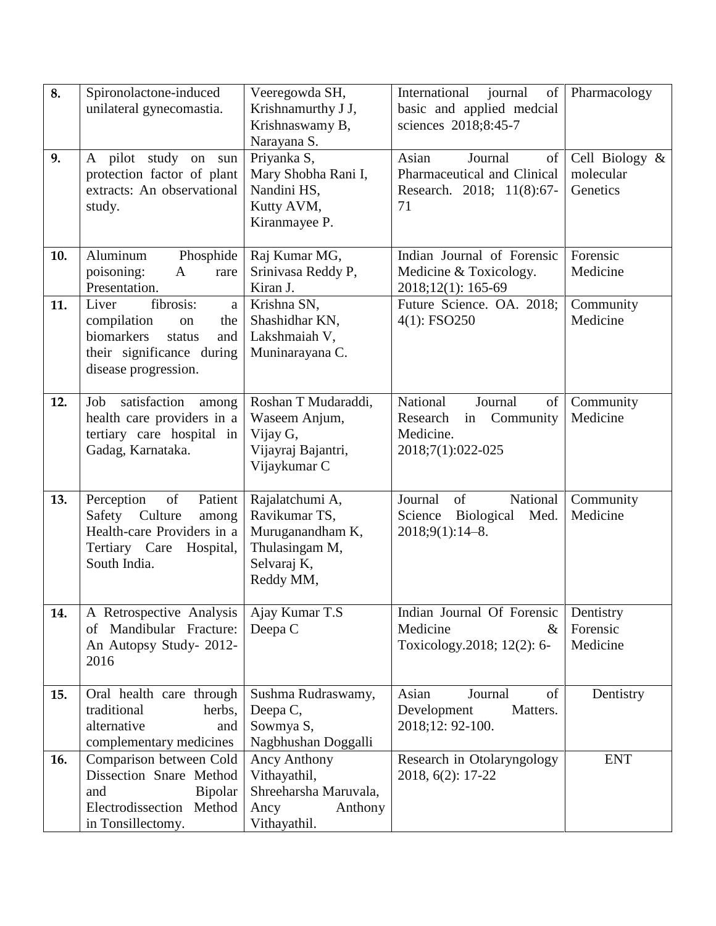| 8.  | Spironolactone-induced<br>unilateral gynecomastia.                                                                                      | Veeregowda SH,<br>Krishnamurthy J J,<br>Krishnaswamy B,<br>Narayana S.                             | International<br>journal<br>of<br>basic and applied medcial<br>sciences 2018;8:45-7      | Pharmacology                            |
|-----|-----------------------------------------------------------------------------------------------------------------------------------------|----------------------------------------------------------------------------------------------------|------------------------------------------------------------------------------------------|-----------------------------------------|
| 9.  | A pilot study on<br>sun<br>protection factor of plant<br>extracts: An observational<br>study.                                           | Priyanka S,<br>Mary Shobha Rani I,<br>Nandini HS,<br>Kutty AVM,<br>Kiranmayee P.                   | Asian<br>Journal<br>of<br>Pharmaceutical and Clinical<br>Research. 2018; 11(8):67-<br>71 | Cell Biology &<br>molecular<br>Genetics |
| 10. | Aluminum<br>Phosphide<br>poisoning:<br>A<br>rare<br>Presentation.                                                                       | Raj Kumar MG,<br>Srinivasa Reddy P,<br>Kiran J.                                                    | Indian Journal of Forensic<br>Medicine & Toxicology.<br>2018;12(1): 165-69               | Forensic<br>Medicine                    |
| 11. | fibrosis:<br>Liver<br>a<br>compilation<br>the<br>on<br>biomarkers<br>status<br>and<br>their significance during<br>disease progression. | Krishna SN,<br>Shashidhar KN,<br>Lakshmaiah V,<br>Muninarayana C.                                  | Future Science. OA. 2018;<br>4(1): FSO250                                                | Community<br>Medicine                   |
| 12. | satisfaction<br>Job<br>among<br>health care providers in a<br>tertiary care hospital in<br>Gadag, Karnataka.                            | Roshan T Mudaraddi,<br>Waseem Anjum,<br>Vijay G,<br>Vijayraj Bajantri,<br>Vijaykumar C             | National<br>Journal<br>of<br>in Community<br>Research<br>Medicine.<br>2018;7(1):022-025  | Community<br>Medicine                   |
| 13. | Perception<br>of<br>Patient<br>Safety Culture<br>among<br>Health-care Providers in a<br>Tertiary Care<br>Hospital,<br>South India.      | Rajalatchumi A,<br>Ravikumar TS,<br>Muruganandham K,<br>Thulasingam M,<br>Selvaraj K,<br>Reddy MM, | Journal<br>of<br>National<br>Science Biological<br>Med.<br>2018;9(1):14-8.               | Community<br>Medicine                   |
| 14. | A Retrospective Analysis<br>of Mandibular Fracture:<br>An Autopsy Study- 2012-<br>2016                                                  | Ajay Kumar T.S<br>Deepa C                                                                          | Indian Journal Of Forensic<br>Medicine<br>$\&$<br>Toxicology.2018; 12(2): 6-             | Dentistry<br>Forensic<br>Medicine       |
| 15. | Oral health care through<br>traditional<br>herbs,<br>alternative<br>and<br>complementary medicines                                      | Sushma Rudraswamy,<br>Deepa C,<br>Sowmya S,<br>Nagbhushan Doggalli                                 | Asian<br>Journal<br>of<br>Development<br>Matters.<br>2018;12: 92-100.                    | Dentistry                               |
| 16. | Comparison between Cold<br>Dissection Snare Method<br>Bipolar<br>and<br>Electrodissection Method<br>in Tonsillectomy.                   | Ancy Anthony<br>Vithayathil,<br>Shreeharsha Maruvala,<br>Ancy<br>Anthony<br>Vithayathil.           | Research in Otolaryngology<br>2018, 6(2): 17-22                                          | <b>ENT</b>                              |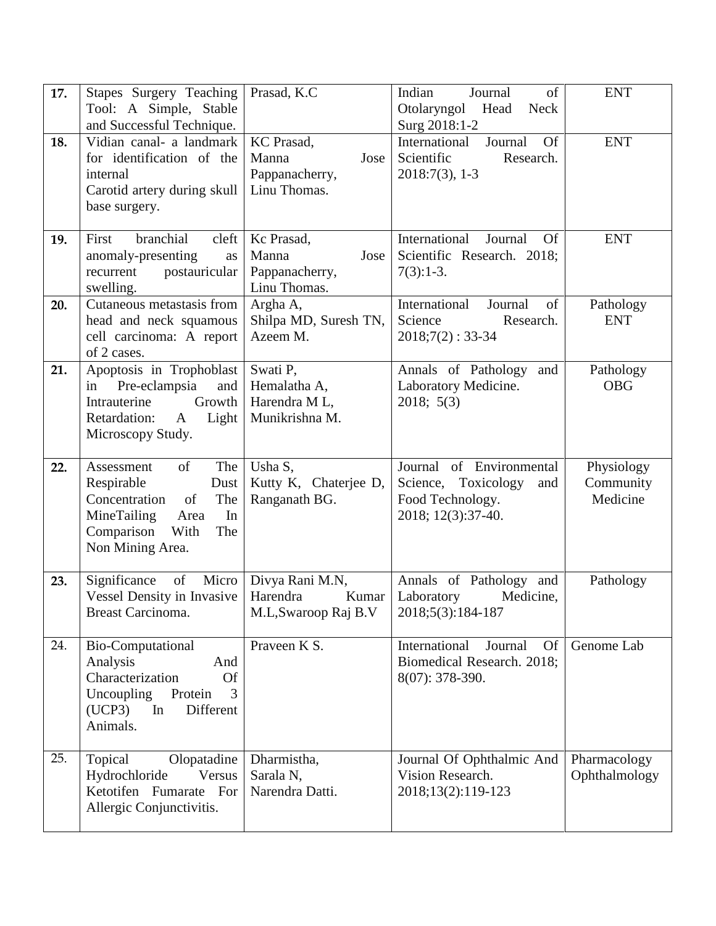| 17. | Stapes Surgery Teaching<br>Tool: A Simple, Stable<br>and Successful Technique.                                                                            | Prasad, K.C                                                   | Indian<br>Journal<br>of<br>Otolaryngol Head<br><b>Neck</b><br>Surg 2018:1-2                      | <b>ENT</b>                          |
|-----|-----------------------------------------------------------------------------------------------------------------------------------------------------------|---------------------------------------------------------------|--------------------------------------------------------------------------------------------------|-------------------------------------|
| 18. | Vidian canal- a landmark<br>for identification of the<br>internal<br>Carotid artery during skull<br>base surgery.                                         | KC Prasad,<br>Manna<br>Jose<br>Pappanacherry,<br>Linu Thomas. | International<br>Journal<br><b>Of</b><br>Scientific<br>Research.<br>$2018:7(3)$ , 1-3            | <b>ENT</b>                          |
| 19. | branchial<br>cleft<br>First<br>anomaly-presenting<br>as<br>recurrent<br>postauricular<br>swelling.                                                        | Kc Prasad,<br>Manna<br>Jose<br>Pappanacherry,<br>Linu Thomas. | International<br>Journal<br><b>Of</b><br>Scientific Research. 2018;<br>$7(3):1-3.$               | <b>ENT</b>                          |
| 20. | Cutaneous metastasis from<br>head and neck squamous<br>cell carcinoma: A report<br>of 2 cases.                                                            | Argha A,<br>Shilpa MD, Suresh TN,<br>Azeem M.                 | International<br>Journal<br>of<br>Science<br>Research.<br>$2018;7(2):33-34$                      | Pathology<br><b>ENT</b>             |
| 21. | Apoptosis in Trophoblast<br>Pre-eclampsia<br>and<br>in<br>Growth<br>Intrauterine<br>Retardation:<br>Light<br>$\mathbf{A}$<br>Microscopy Study.            | Swati P,<br>Hemalatha A,<br>Harendra ML,<br>Munikrishna M.    | Annals of Pathology<br>and<br>Laboratory Medicine.<br>2018; 5(3)                                 | Pathology<br><b>OBG</b>             |
| 22. | The<br>of<br>Assessment<br>Respirable<br>Dust<br>Concentration<br>The<br>of<br>MineTailing<br>In<br>Area<br>Comparison<br>With<br>The<br>Non Mining Area. | Usha S,<br>Kutty K, Chaterjee D,<br>Ranganath BG.             | Journal of Environmental<br>Science, Toxicology<br>and<br>Food Technology.<br>2018; 12(3):37-40. | Physiology<br>Community<br>Medicine |
| 23. | of<br>Micro<br>Significance<br><b>Vessel Density in Invasive</b><br>Breast Carcinoma.                                                                     | Divya Rani M.N,<br>Harendra<br>Kumar<br>M.L, Swaroop Raj B.V  | Annals of Pathology and<br>Laboratory<br>Medicine,<br>2018;5(3):184-187                          | Pathology                           |
| 24. | <b>Bio-Computational</b><br>Analysis<br>And<br>Characterization<br><b>Of</b><br>Uncoupling<br>Protein<br>3<br>In<br>(UCP3)<br>Different<br>Animals.       | Praveen K S.                                                  | International<br><b>Of</b><br>Journal<br>Biomedical Research. 2018;<br>8(07): 378-390.           | Genome Lab                          |
| 25. | Olopatadine<br>Topical<br>Hydrochloride<br>Versus<br>Ketotifen Fumarate For<br>Allergic Conjunctivitis.                                                   | Dharmistha,<br>Sarala N,<br>Narendra Datti.                   | Journal Of Ophthalmic And<br>Vision Research.<br>2018;13(2):119-123                              | Pharmacology<br>Ophthalmology       |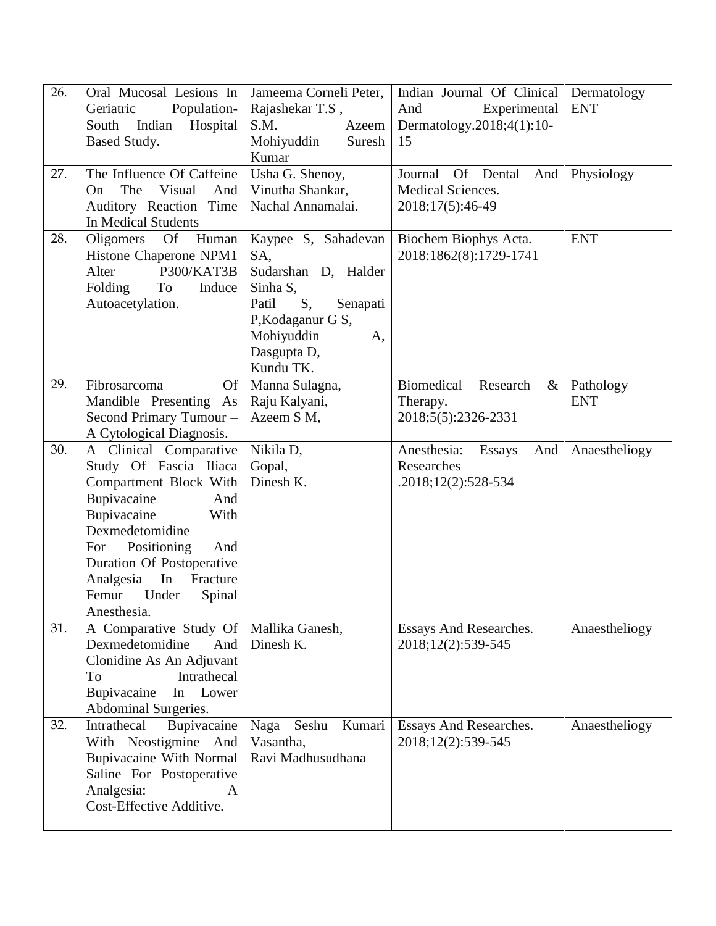| 26. | Oral Mucosal Lesions In<br>Population-<br>Geriatric<br>Indian<br>Hospital<br>South<br>Based Study.                                                                                                                                                                          | Jameema Corneli Peter,<br>Rajashekar T.S,<br>S.M.<br>Azeem<br>Mohiyuddin<br>Suresh<br>Kumar                                                                               | Indian Journal Of Clinical<br>And<br>Experimental<br>Dermatology.2018;4(1):10-<br>15 | Dermatology<br><b>ENT</b> |
|-----|-----------------------------------------------------------------------------------------------------------------------------------------------------------------------------------------------------------------------------------------------------------------------------|---------------------------------------------------------------------------------------------------------------------------------------------------------------------------|--------------------------------------------------------------------------------------|---------------------------|
| 27. | The Influence Of Caffeine<br>The<br>Visual<br>And<br>On<br>Auditory Reaction Time<br>In Medical Students                                                                                                                                                                    | Usha G. Shenoy,<br>Vinutha Shankar,<br>Nachal Annamalai.                                                                                                                  | Journal<br>Of Dental<br>And<br>Medical Sciences.<br>2018;17(5):46-49                 | Physiology                |
| 28. | <b>Of</b><br>Oligomers<br>Human<br>Histone Chaperone NPM1<br>P300/KAT3B<br>Alter<br>Folding<br>To<br>Induce<br>Autoacetylation.                                                                                                                                             | Kaypee S, Sahadevan<br>SA,<br>Sudarshan D, Halder<br>Sinha S,<br>S <sub>1</sub><br>Patil<br>Senapati<br>P, Kodaganur G S,<br>Mohiyuddin<br>A,<br>Dasgupta D,<br>Kundu TK. | Biochem Biophys Acta.<br>2018:1862(8):1729-1741                                      | <b>ENT</b>                |
| 29. | <b>Of</b><br>Fibrosarcoma<br>Mandible Presenting As<br>Second Primary Tumour -<br>A Cytological Diagnosis.                                                                                                                                                                  | Manna Sulagna,<br>Raju Kalyani,<br>Azeem S M,                                                                                                                             | Biomedical<br>Research<br>$\&$<br>Therapy.<br>2018;5(5):2326-2331                    | Pathology<br><b>ENT</b>   |
| 30. | A Clinical Comparative<br>Study Of Fascia Iliaca<br>Compartment Block With<br>Bupivacaine<br>And<br>Bupivacaine<br>With<br>Dexmedetomidine<br>Positioning<br>For<br>And<br>Duration Of Postoperative<br>Analgesia In<br>Fracture<br>Under<br>Femur<br>Spinal<br>Anesthesia. | Nikila D,<br>Gopal,<br>Dinesh K.                                                                                                                                          | Anesthesia:<br>And<br><b>Essays</b><br>Researches<br>$.2018;12(2):528-534$           | Anaestheliogy             |
| 31. | A Comparative Study Of   Mallika Ganesh,<br>Dexmedetomidine<br>And<br>Clonidine As An Adjuvant<br>Intrathecal<br>To<br>Bupivacaine<br>Lower<br>In<br>Abdominal Surgeries.                                                                                                   | Dinesh K.                                                                                                                                                                 | Essays And Researches.<br>2018;12(2):539-545                                         | Anaestheliogy             |
| 32. | Intrathecal<br>Bupivacaine<br>With Neostigmine And<br>Bupivacaine With Normal<br>Saline For Postoperative<br>Analgesia:<br>A<br>Cost-Effective Additive.                                                                                                                    | Seshu<br>Kumari<br>Naga<br>Vasantha,<br>Ravi Madhusudhana                                                                                                                 | Essays And Researches.<br>2018;12(2):539-545                                         | Anaestheliogy             |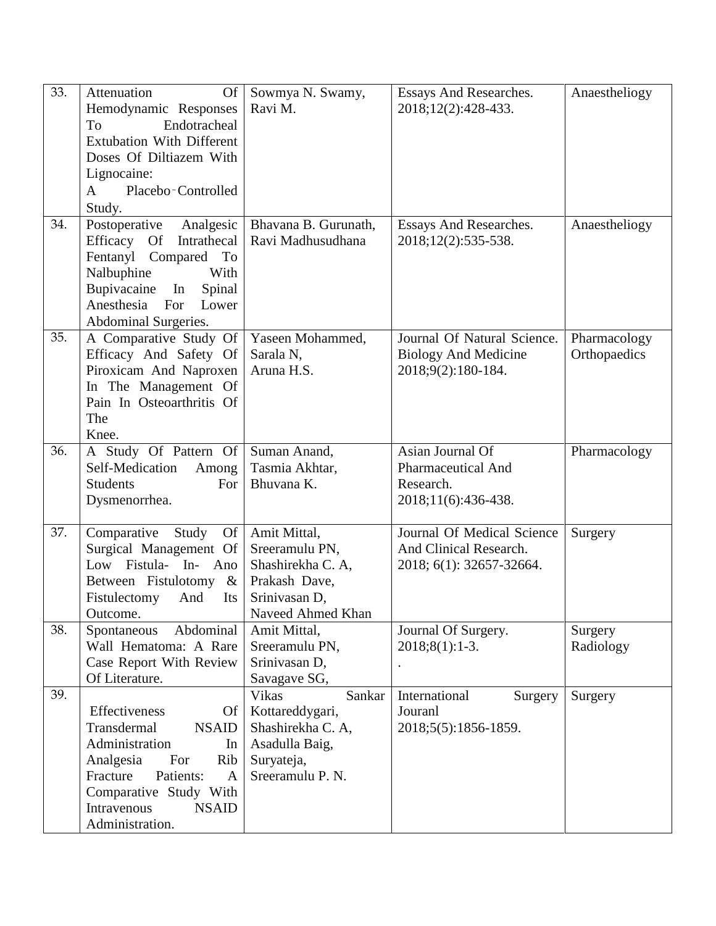| 33. | Attenuation<br><b>Of</b>                            | Sowmya N. Swamy,               | Essays And Researches.        | Anaestheliogy |
|-----|-----------------------------------------------------|--------------------------------|-------------------------------|---------------|
|     | Hemodynamic Responses                               | Ravi M.                        | 2018;12(2):428-433.           |               |
|     | Endotracheal<br>To                                  |                                |                               |               |
|     | <b>Extubation With Different</b>                    |                                |                               |               |
|     | Doses Of Diltiazem With                             |                                |                               |               |
|     | Lignocaine:                                         |                                |                               |               |
|     | Placebo-Controlled<br>$\mathbf{A}$                  |                                |                               |               |
|     | Study.                                              |                                |                               |               |
| 34. | Postoperative                                       | Bhavana B. Gurunath,           | <b>Essays And Researches.</b> |               |
|     | Analgesic<br>Efficacy<br>Intrathecal                | Ravi Madhusudhana              | 2018;12(2):535-538.           | Anaestheliogy |
|     | <b>Of</b>                                           |                                |                               |               |
|     | Fentanyl Compared To<br>With                        |                                |                               |               |
|     | Nalbuphine                                          |                                |                               |               |
|     | Bupivacaine In<br>Spinal<br>Anesthesia For<br>Lower |                                |                               |               |
|     |                                                     |                                |                               |               |
|     | Abdominal Surgeries.                                |                                |                               |               |
| 35. | A Comparative Study Of                              | Yaseen Mohammed,               | Journal Of Natural Science.   | Pharmacology  |
|     | Efficacy And Safety Of                              | Sarala N,<br>Aruna H.S.        | <b>Biology And Medicine</b>   | Orthopaedics  |
|     | Piroxicam And Naproxen                              |                                | 2018;9(2):180-184.            |               |
|     | In The Management Of                                |                                |                               |               |
|     | Pain In Osteoarthritis Of                           |                                |                               |               |
|     | The<br>Knee.                                        |                                |                               |               |
| 36. |                                                     |                                | Asian Journal Of              |               |
|     | A Study Of Pattern Of<br>Self-Medication<br>Among   | Suman Anand,<br>Tasmia Akhtar, | <b>Pharmaceutical And</b>     | Pharmacology  |
|     | <b>Students</b><br>For                              | Bhuvana K.                     | Research.                     |               |
|     | Dysmenorrhea.                                       |                                | 2018;11(6):436-438.           |               |
|     |                                                     |                                |                               |               |
| 37. | Comparative<br>Study<br><b>Of</b>                   | Amit Mittal,                   | Journal Of Medical Science    | Surgery       |
|     | Surgical Management Of                              | Sreeramulu PN,                 | And Clinical Research.        |               |
|     | Low Fistula- In- Ano                                | Shashirekha C. A,              | 2018; 6(1): 32657-32664.      |               |
|     | Between Fistulotomy &                               | Prakash Dave,                  |                               |               |
|     | Fistulectomy<br>And<br>Its                          | Srinivasan D,                  |                               |               |
|     | Outcome.                                            | Naveed Ahmed Khan              |                               |               |
| 38. | Abdominal<br>Spontaneous                            | Amit Mittal,                   | Journal Of Surgery.           | Surgery       |
|     | Wall Hematoma: A Rare                               | Sreeramulu PN,                 | $2018;8(1):1-3.$              | Radiology     |
|     | Case Report With Review                             | Srinivasan D,                  |                               |               |
|     | Of Literature.                                      | Savagave SG,                   |                               |               |
| 39. |                                                     | <b>Vikas</b><br>Sankar         | International<br>Surgery      | Surgery       |
|     | Effectiveness<br><b>Of</b>                          | Kottareddygari,                | Jouranl                       |               |
|     | Transdermal<br><b>NSAID</b>                         | Shashirekha C. A,              | 2018;5(5):1856-1859.          |               |
|     | Administration<br>In                                | Asadulla Baig,                 |                               |               |
|     | Analgesia<br>Rib<br>For                             | Suryateja,                     |                               |               |
|     | Patients:<br>Fracture<br>$\mathbf{A}$               | Sreeramulu P. N.               |                               |               |
|     | Comparative Study With                              |                                |                               |               |
|     | Intravenous<br><b>NSAID</b>                         |                                |                               |               |
|     | Administration.                                     |                                |                               |               |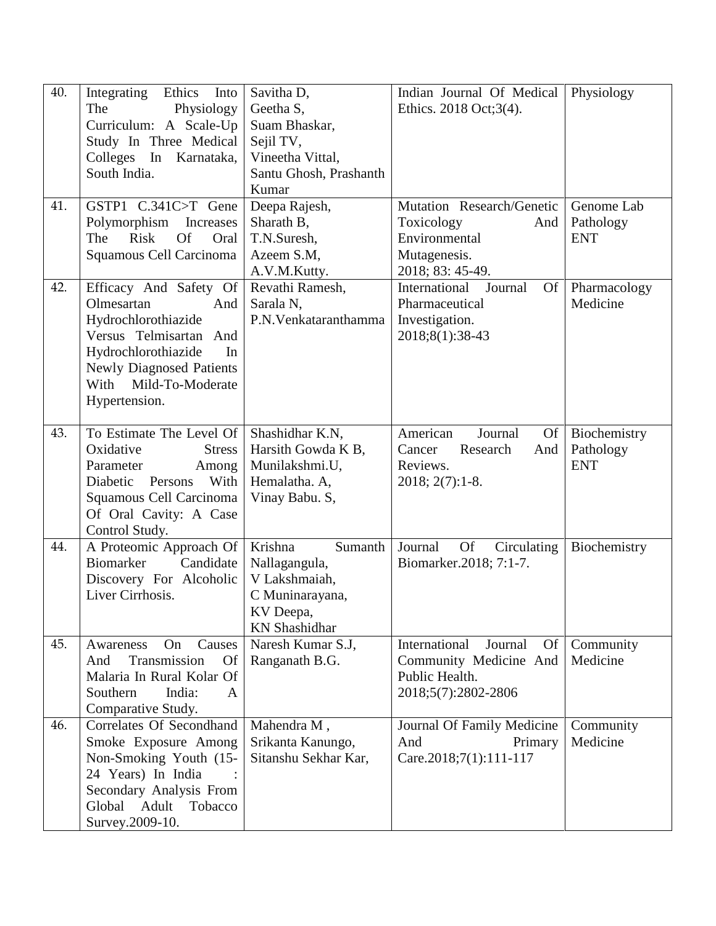| 40. | Ethics<br>Integrating<br>Into<br>The<br>Physiology<br>Curriculum: A Scale-Up<br>Study In Three Medical<br>Colleges In Karnataka,<br>South India.                                                       | Savitha D,<br>Geetha S,<br>Suam Bhaskar,<br>Sejil TV,<br>Vineetha Vittal,<br>Santu Ghosh, Prashanth<br>Kumar | Indian Journal Of Medical<br>Ethics. 2018 Oct;3(4).                                                 | Physiology                              |
|-----|--------------------------------------------------------------------------------------------------------------------------------------------------------------------------------------------------------|--------------------------------------------------------------------------------------------------------------|-----------------------------------------------------------------------------------------------------|-----------------------------------------|
| 41. | GSTP1 C.341C>T Gene<br>Polymorphism Increases<br><b>Of</b><br>Risk<br>Oral<br>The<br>Squamous Cell Carcinoma                                                                                           | Deepa Rajesh,<br>Sharath B,<br>T.N.Suresh,<br>Azeem S.M,<br>A.V.M.Kutty.                                     | Mutation Research/Genetic<br>Toxicology<br>And<br>Environmental<br>Mutagenesis.<br>2018; 83: 45-49. | Genome Lab<br>Pathology<br><b>ENT</b>   |
| 42. | Efficacy And Safety Of<br>Olmesartan<br>And<br>Hydrochlorothiazide<br>Versus Telmisartan And<br>Hydrochlorothiazide<br>In<br><b>Newly Diagnosed Patients</b><br>With Mild-To-Moderate<br>Hypertension. | Revathi Ramesh,<br>Sarala N,<br>P.N. Venkataranthamma                                                        | <b>Of</b><br>International<br>Journal<br>Pharmaceutical<br>Investigation.<br>2018;8(1):38-43        | Pharmacology<br>Medicine                |
| 43. | To Estimate The Level Of<br>Oxidative<br><b>Stress</b><br>Parameter<br>Among<br>Diabetic Persons<br>With<br>Squamous Cell Carcinoma<br>Of Oral Cavity: A Case<br>Control Study.                        | Shashidhar K.N,<br>Harsith Gowda K B,<br>Munilakshmi.U,<br>Hemalatha. A,<br>Vinay Babu. S,                   | American<br>Journal<br>Of<br>Cancer<br>Research<br>And<br>Reviews.<br>$2018; 2(7):1-8.$             | Biochemistry<br>Pathology<br><b>ENT</b> |
| 44. | A Proteomic Approach Of<br>Biomarker<br>Candidate<br>Discovery For Alcoholic<br>Liver Cirrhosis.                                                                                                       | Krishna<br>Sumanth<br>Nallagangula,<br>V Lakshmaiah,<br>C Muninarayana,<br>KV Deepa,<br><b>KN</b> Shashidhar | <b>Of</b><br>Journal<br>Circulating<br>Biomarker.2018; 7:1-7.                                       | Biochemistry                            |
| 45. | On<br>Causes<br>Awareness<br>Transmission<br>And<br><b>Of</b><br>Malaria In Rural Kolar Of<br>India:<br>Southern<br>A<br>Comparative Study.                                                            | Naresh Kumar S.J,<br>Ranganath B.G.                                                                          | International<br>Journal<br>Of<br>Community Medicine And<br>Public Health.<br>2018;5(7):2802-2806   | Community<br>Medicine                   |
| 46. | Correlates Of Secondhand<br>Smoke Exposure Among<br>Non-Smoking Youth (15-<br>24 Years) In India<br>Secondary Analysis From<br>Global Adult<br>Tobacco<br>Survey.2009-10.                              | Mahendra M,<br>Srikanta Kanungo,<br>Sitanshu Sekhar Kar,                                                     | Journal Of Family Medicine<br>And<br>Primary<br>Care.2018;7(1):111-117                              | Community<br>Medicine                   |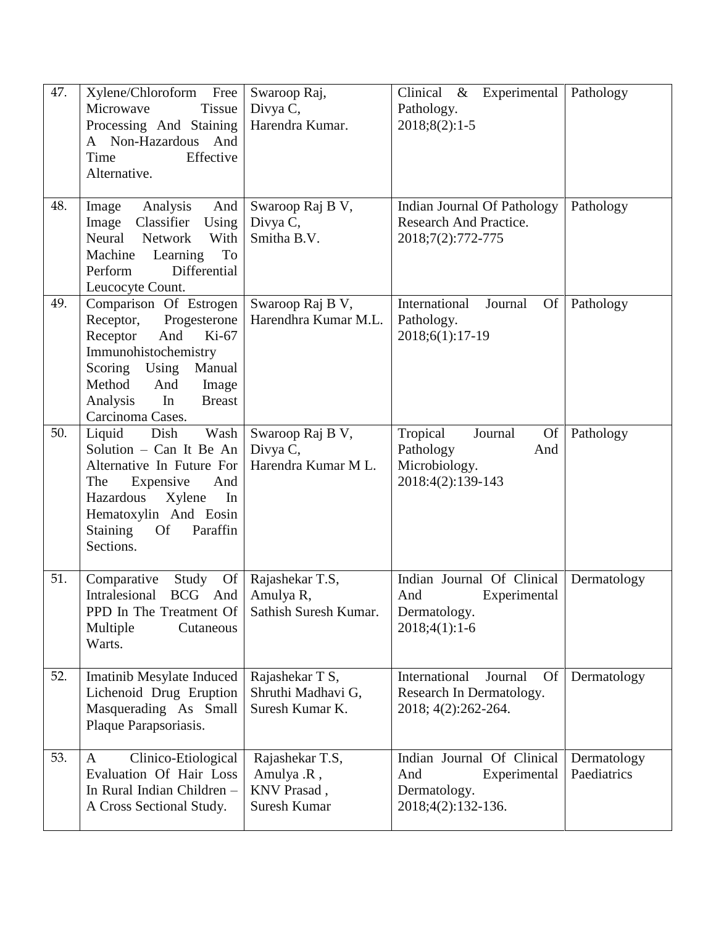| 47. | Xylene/Chloroform Free<br>Microwave<br><b>Tissue</b><br>Processing And Staining<br>A Non-Hazardous And<br>Time<br>Effective<br>Alternative.                                                                           | Swaroop Raj,<br>Divya C,<br>Harendra Kumar.                  | Clinical & Experimental<br>Pathology.<br>$2018;8(2):1-5$                                   | Pathology                  |
|-----|-----------------------------------------------------------------------------------------------------------------------------------------------------------------------------------------------------------------------|--------------------------------------------------------------|--------------------------------------------------------------------------------------------|----------------------------|
| 48. | Analysis<br>And<br>Image<br>Classifier<br>Using<br>Image<br>Neural<br><b>Network</b><br>With<br>Machine Learning<br>To<br>Perform<br>Differential<br>Leucocyte Count.                                                 | Swaroop Raj B V,<br>Divya C,<br>Smitha B.V.                  | Indian Journal Of Pathology<br>Research And Practice.<br>2018;7(2):772-775                 | Pathology                  |
| 49. | Comparison Of Estrogen<br>Receptor,<br>Progesterone<br>And<br>$Ki-67$<br>Receptor<br>Immunohistochemistry<br>Manual<br>Scoring Using<br>Method<br>And<br>Image<br>In<br><b>Breast</b><br>Analysis<br>Carcinoma Cases. | Swaroop Raj B V,<br>Harendhra Kumar M.L.                     | International<br>Journal<br>Of<br>Pathology.<br>2018;6(1):17-19                            | Pathology                  |
| 50. | Liquid<br>Dish<br>Wash<br>Solution - Can It Be An<br>Alternative In Future For<br>Expensive<br>The<br>And<br>Hazardous<br>Xylene<br>In<br>Hematoxylin And Eosin<br>Staining<br><b>Of</b><br>Paraffin<br>Sections.     | Swaroop Raj B V,<br>Divya C,<br>Harendra Kumar M L.          | Tropical<br>Journal<br><b>Of</b><br>Pathology<br>And<br>Microbiology.<br>2018:4(2):139-143 | Pathology                  |
| 51. | <b>Of</b><br>Comparative<br>Study<br>Intralesional<br>BCG And<br>PPD In The Treatment Of<br>Multiple<br>Cutaneous<br>Warts.                                                                                           | Rajashekar T.S,<br>Amulya R,<br>Sathish Suresh Kumar.        | Indian Journal Of Clinical<br>And<br>Experimental<br>Dermatology.<br>$2018;4(1):1-6$       | Dermatology                |
| 52. | <b>Imatinib Mesylate Induced</b><br>Lichenoid Drug Eruption<br>Masquerading As Small<br>Plaque Parapsoriasis.                                                                                                         | Rajashekar T S,<br>Shruthi Madhavi G,<br>Suresh Kumar K.     | International<br>Journal<br>Of<br>Research In Dermatology.<br>2018; 4(2):262-264.          | Dermatology                |
| 53. | Clinico-Etiological<br>A<br>Evaluation Of Hair Loss<br>In Rural Indian Children -<br>A Cross Sectional Study.                                                                                                         | Rajashekar T.S,<br>Amulya .R,<br>KNV Prasad,<br>Suresh Kumar | Indian Journal Of Clinical<br>And<br>Experimental<br>Dermatology.<br>2018;4(2):132-136.    | Dermatology<br>Paediatrics |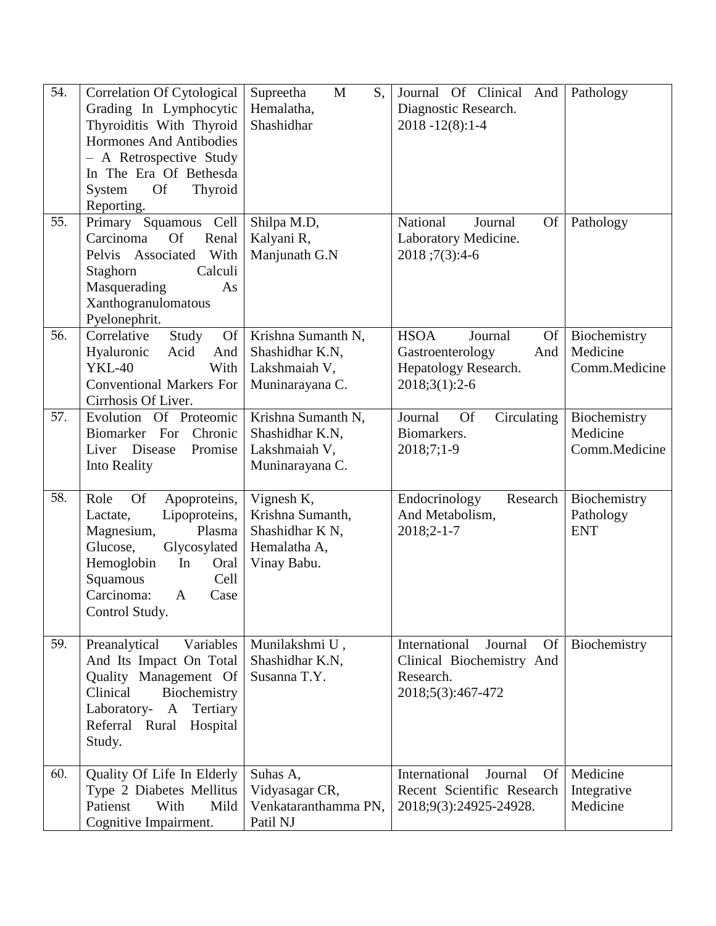| 54. | <b>Correlation Of Cytological</b><br>Grading In Lymphocytic<br>Thyroiditis With Thyroid<br>Hormones And Antibodies<br>- A Retrospective Study<br>In The Era Of Bethesda<br><b>Of</b><br>Thyroid<br>System<br>Reporting.    | S,<br>Supreetha<br>M<br>Hemalatha,<br>Shashidhar                                 | Journal Of Clinical<br>And<br>Diagnostic Research.<br>$2018 - 12(8):1 - 4$                                | Pathology                                 |
|-----|----------------------------------------------------------------------------------------------------------------------------------------------------------------------------------------------------------------------------|----------------------------------------------------------------------------------|-----------------------------------------------------------------------------------------------------------|-------------------------------------------|
| 55. | Primary Squamous Cell<br>Carcinoma<br><b>Of</b><br>Renal<br>Associated With<br>Pelvis<br>Calculi<br>Staghorn<br>Masquerading<br>As<br>Xanthogranulomatous<br>Pyelonephrit.                                                 | Shilpa M.D,<br>Kalyani R,<br>Manjunath G.N                                       | National<br><b>Of</b><br>Journal<br>Laboratory Medicine.<br>$2018$ ; 7(3): 4-6                            | Pathology                                 |
| 56. | <b>Of</b><br>Correlative<br>Study<br>Hyaluronic<br>Acid<br>And<br><b>YKL-40</b><br>With<br><b>Conventional Markers For</b><br>Cirrhosis Of Liver.                                                                          | Krishna Sumanth N,<br>Shashidhar K.N.<br>Lakshmaiah V,<br>Muninarayana C.        | <b>HSOA</b><br><b>Of</b><br>Journal<br>And<br>Gastroenterology<br>Hepatology Research.<br>$2018;3(1):2-6$ | Biochemistry<br>Medicine<br>Comm.Medicine |
| 57. | Evolution Of Proteomic<br>Biomarker For Chronic<br>Disease<br>Promise<br>Liver<br>Into Reality                                                                                                                             | Krishna Sumanth N,<br>Shashidhar K.N,<br>Lakshmaiah V,<br>Muninarayana C.        | Journal<br><b>Of</b><br>Circulating<br>Biomarkers.<br>2018;7;1-9                                          | Biochemistry<br>Medicine<br>Comm.Medicine |
| 58. | Role<br><b>Of</b><br>Apoproteins,<br>Lipoproteins,<br>Lactate,<br>Plasma<br>Magnesium,<br>Glycosylated<br>Glucose,<br>Hemoglobin<br>In<br>Oral<br>Squamous<br>Cell<br>Carcinoma:<br>$\mathbf{A}$<br>Case<br>Control Study. | Vignesh K,<br>Krishna Sumanth,<br>Shashidhar K N,<br>Hemalatha A,<br>Vinay Babu. | Research<br>Endocrinology<br>And Metabolism,<br>$2018;2-1-7$                                              | Biochemistry<br>Pathology<br><b>ENT</b>   |
| 59. | Preanalytical<br>Variables<br>And Its Impact On Total<br>Quality Management Of<br>Clinical<br>Biochemistry<br>$\mathbf{A}$<br>Tertiary<br>Laboratory-<br>Referral Rural<br>Hospital<br>Study.                              | Munilakshmi U,<br>Shashidhar K.N,<br>Susanna T.Y.                                | International<br>Of<br>Journal<br>Clinical Biochemistry And<br>Research.<br>2018;5(3):467-472             | Biochemistry                              |
| 60. | Quality Of Life In Elderly<br>Type 2 Diabetes Mellitus<br>Patienst<br>With<br>Mild<br>Cognitive Impairment.                                                                                                                | Suhas A,<br>Vidyasagar CR,<br>Venkataranthamma PN,<br>Patil NJ                   | International<br>Journal<br><b>Of</b><br>Recent Scientific Research<br>2018;9(3):24925-24928.             | Medicine<br>Integrative<br>Medicine       |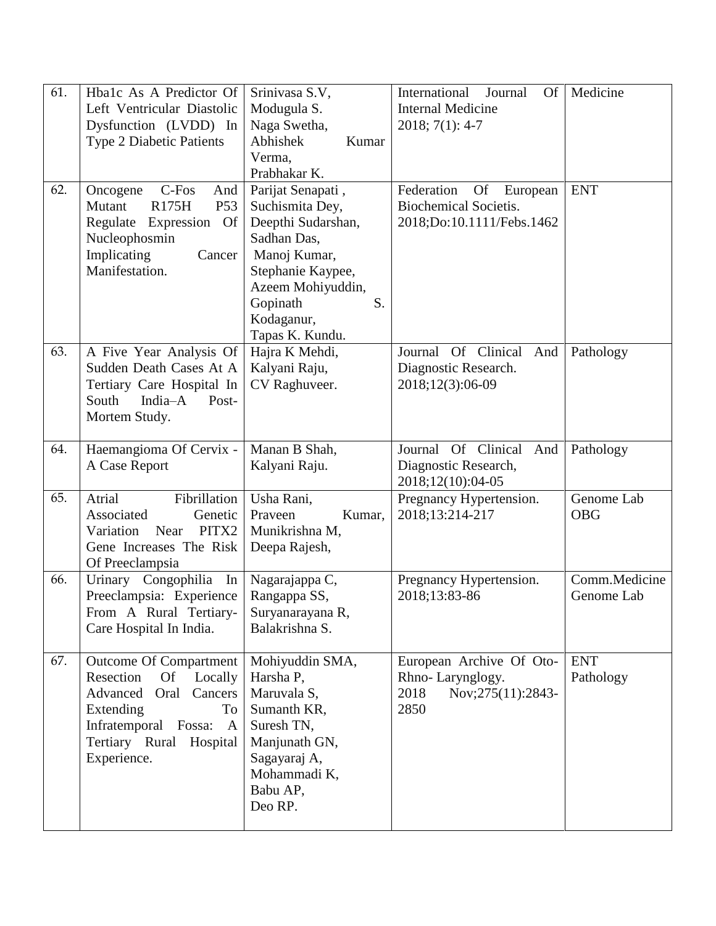| 61.<br>62. | Hba1c As A Predictor Of<br>Left Ventricular Diastolic<br>Dysfunction (LVDD) In<br><b>Type 2 Diabetic Patients</b><br>C-Fos<br>Oncogene<br>And<br>R175H<br>Mutant<br>P <sub>53</sub><br>Regulate Expression<br><b>Of</b><br>Nucleophosmin<br>Implicating<br>Cancer<br>Manifestation. | Srinivasa S.V,<br>Modugula S.<br>Naga Swetha,<br>Abhishek<br>Kumar<br>Verma,<br>Prabhakar K.<br>Parijat Senapati,<br>Suchismita Dey,<br>Deepthi Sudarshan,<br>Sadhan Das,<br>Manoj Kumar,<br>Stephanie Kaypee,<br>Azeem Mohiyuddin, | International<br>Journal<br>Of<br><b>Internal Medicine</b><br>$2018; 7(1): 4-7$<br>Federation<br><b>Of</b><br>European<br><b>Biochemical Societis.</b><br>2018;Do:10.1111/Febs.1462 | Medicine<br><b>ENT</b>      |
|------------|-------------------------------------------------------------------------------------------------------------------------------------------------------------------------------------------------------------------------------------------------------------------------------------|-------------------------------------------------------------------------------------------------------------------------------------------------------------------------------------------------------------------------------------|-------------------------------------------------------------------------------------------------------------------------------------------------------------------------------------|-----------------------------|
|            |                                                                                                                                                                                                                                                                                     | Gopinath<br>S.<br>Kodaganur,<br>Tapas K. Kundu.                                                                                                                                                                                     |                                                                                                                                                                                     |                             |
| 63.        | A Five Year Analysis Of<br>Sudden Death Cases At A<br>Tertiary Care Hospital In<br>South<br>India-A<br>Post-<br>Mortem Study.                                                                                                                                                       | Hajra K Mehdi,<br>Kalyani Raju,<br>CV Raghuveer.                                                                                                                                                                                    | Journal Of Clinical<br>And<br>Diagnostic Research.<br>2018;12(3):06-09                                                                                                              | Pathology                   |
| 64.        | Haemangioma Of Cervix -<br>A Case Report                                                                                                                                                                                                                                            | Manan B Shah,<br>Kalyani Raju.                                                                                                                                                                                                      | Journal Of Clinical<br>And<br>Diagnostic Research,<br>2018;12(10):04-05                                                                                                             | Pathology                   |
| 65.        | Fibrillation<br>Atrial<br>Associated<br>Genetic<br>PITX2<br>Near<br>Variation<br>Gene Increases The Risk<br>Of Preeclampsia                                                                                                                                                         | Usha Rani,<br>Praveen<br>Kumar,<br>Munikrishna M,<br>Deepa Rajesh,                                                                                                                                                                  | Pregnancy Hypertension.<br>2018;13:214-217                                                                                                                                          | Genome Lab<br><b>OBG</b>    |
| 66.        | Urinary Congophilia<br>In<br>Preeclampsia: Experience<br>From A Rural Tertiary-<br>Care Hospital In India.                                                                                                                                                                          | Nagarajappa C,<br>Rangappa SS,<br>Suryanarayana R,<br>Balakrishna S.                                                                                                                                                                | Pregnancy Hypertension.<br>2018;13:83-86                                                                                                                                            | Comm.Medicine<br>Genome Lab |
| 67.        | <b>Outcome Of Compartment</b><br>Of<br>Resection<br>Locally<br>Advanced<br>Cancers<br>Oral<br>Extending<br>To<br>Infratemporal Fossa:<br>$\mathbf{A}$<br>Tertiary Rural Hospital<br>Experience.                                                                                     | Mohiyuddin SMA,<br>Harsha P,<br>Maruvala S,<br>Sumanth KR,<br>Suresh TN,<br>Manjunath GN,<br>Sagayaraj A,<br>Mohammadi K,<br>Babu AP,<br>Deo RP.                                                                                    | European Archive Of Oto-<br>Rhno-Larynglogy.<br>2018<br>Nov;275(11):2843-<br>2850                                                                                                   | <b>ENT</b><br>Pathology     |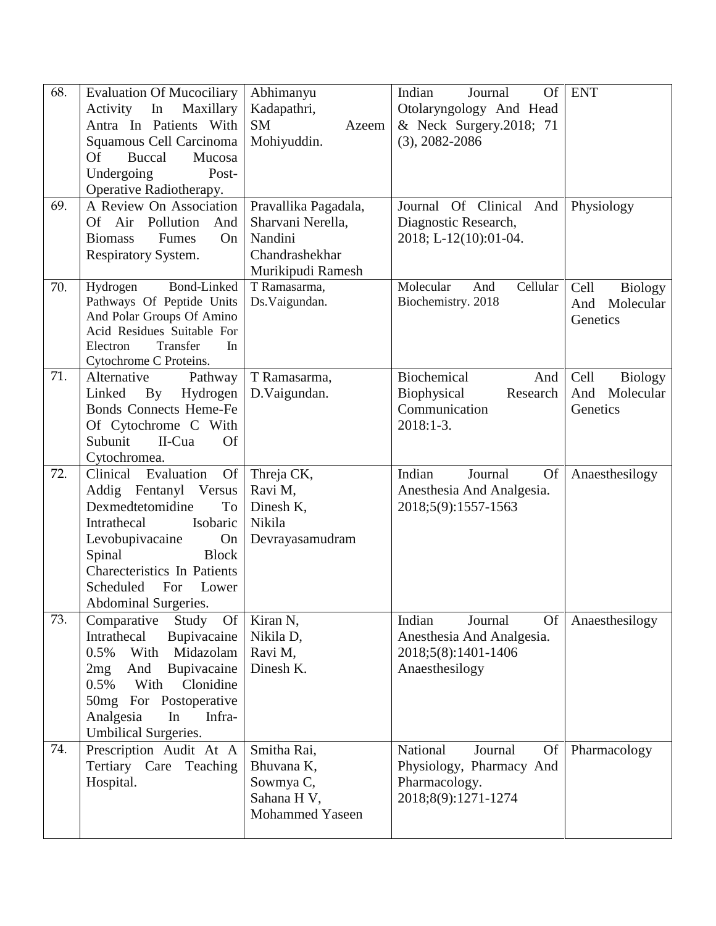| 68. | <b>Evaluation Of Mucociliary</b>                     | Abhimanyu            | Indian<br>Of<br>Journal          | <b>ENT</b>             |
|-----|------------------------------------------------------|----------------------|----------------------------------|------------------------|
|     | In<br>Maxillary<br>Activity                          | Kadapathri,          | Otolaryngology And Head          |                        |
|     | Antra In Patients With                               | <b>SM</b><br>Azeem   | & Neck Surgery.2018; 71          |                        |
|     | Squamous Cell Carcinoma                              | Mohiyuddin.          | $(3), 2082 - 2086$               |                        |
|     | <b>Of</b><br><b>Buccal</b><br>Mucosa                 |                      |                                  |                        |
|     | Undergoing<br>Post-                                  |                      |                                  |                        |
|     | Operative Radiotherapy.                              |                      |                                  |                        |
| 69. | A Review On Association                              | Pravallika Pagadala, | Journal Of Clinical And          | Physiology             |
|     | Air<br>Pollution<br><b>Of</b><br>And                 | Sharvani Nerella,    | Diagnostic Research,             |                        |
|     | On<br><b>Biomass</b><br>Fumes                        | Nandini              | 2018; L-12(10):01-04.            |                        |
|     | Respiratory System.                                  | Chandrashekhar       |                                  |                        |
|     |                                                      | Murikipudi Ramesh    |                                  |                        |
| 70. | Bond-Linked<br>Hydrogen                              | T Ramasarma,         | Molecular<br>Cellular<br>And     | Cell<br><b>Biology</b> |
|     | Pathways Of Peptide Units                            | Ds.Vaigundan.        | Biochemistry. 2018               | And<br>Molecular       |
|     | And Polar Groups Of Amino                            |                      |                                  | Genetics               |
|     | Acid Residues Suitable For                           |                      |                                  |                        |
|     | Transfer<br>In<br>Electron<br>Cytochrome C Proteins. |                      |                                  |                        |
| 71. | Alternative<br>Pathway                               | T Ramasarma,         | Biochemical<br>And               | Cell<br><b>Biology</b> |
|     | Linked<br>Hydrogen<br>By                             | D.Vaigundan.         | Biophysical<br>Research          | And<br>Molecular       |
|     | <b>Bonds Connects Heme-Fe</b>                        |                      | Communication                    | Genetics               |
|     | Of Cytochrome C With                                 |                      | $2018:1-3.$                      |                        |
|     | Subunit<br>II-Cua<br><b>Of</b>                       |                      |                                  |                        |
|     | Cytochromea.                                         |                      |                                  |                        |
| 72. | Clinical<br>Evaluation<br><b>Of</b>                  | Threja CK,           | Indian<br>Journal<br><b>Of</b>   | Anaesthesilogy         |
|     | Addig Fentanyl Versus                                | Ravi M,              | Anesthesia And Analgesia.        |                        |
|     | Dexmedtetomidine<br>To                               | Dinesh K,            | 2018;5(9):1557-1563              |                        |
|     | Intrathecal<br>Isobaric                              | Nikila               |                                  |                        |
|     | Levobupivacaine<br>On                                | Devrayasamudram      |                                  |                        |
|     | Spinal<br><b>Block</b>                               |                      |                                  |                        |
|     | Charecteristics In Patients                          |                      |                                  |                        |
|     | Scheduled<br>For<br>Lower                            |                      |                                  |                        |
|     | <b>Abdominal Surgeries.</b>                          |                      |                                  |                        |
| 73. | Comparative<br>Study Of                              | Kiran N,             | Indian<br><b>Of</b><br>Journal   | Anaesthesilogy         |
|     | Intrathecal<br>Bupivacaine                           | Nikila D,            | Anesthesia And Analgesia.        |                        |
|     | Midazolam<br>0.5%<br>With                            | Ravi M,              | 2018;5(8):1401-1406              |                        |
|     | And<br>Bupivacaine<br>2mg                            | Dinesh K.            | Anaesthesilogy                   |                        |
|     | With<br>Clonidine<br>0.5%                            |                      |                                  |                        |
|     | 50mg For Postoperative                               |                      |                                  |                        |
|     | Analgesia<br>In<br>Infra-                            |                      |                                  |                        |
|     | <b>Umbilical Surgeries.</b>                          |                      |                                  |                        |
| 74. | Prescription Audit At A                              | Smitha Rai,          | National<br>Journal<br><b>Of</b> | Pharmacology           |
|     | Tertiary Care Teaching                               | Bhuvana K,           | Physiology, Pharmacy And         |                        |
|     | Hospital.                                            | Sowmya C,            | Pharmacology.                    |                        |
|     |                                                      | Sahana H V,          | 2018;8(9):1271-1274              |                        |
|     |                                                      | Mohammed Yaseen      |                                  |                        |
|     |                                                      |                      |                                  |                        |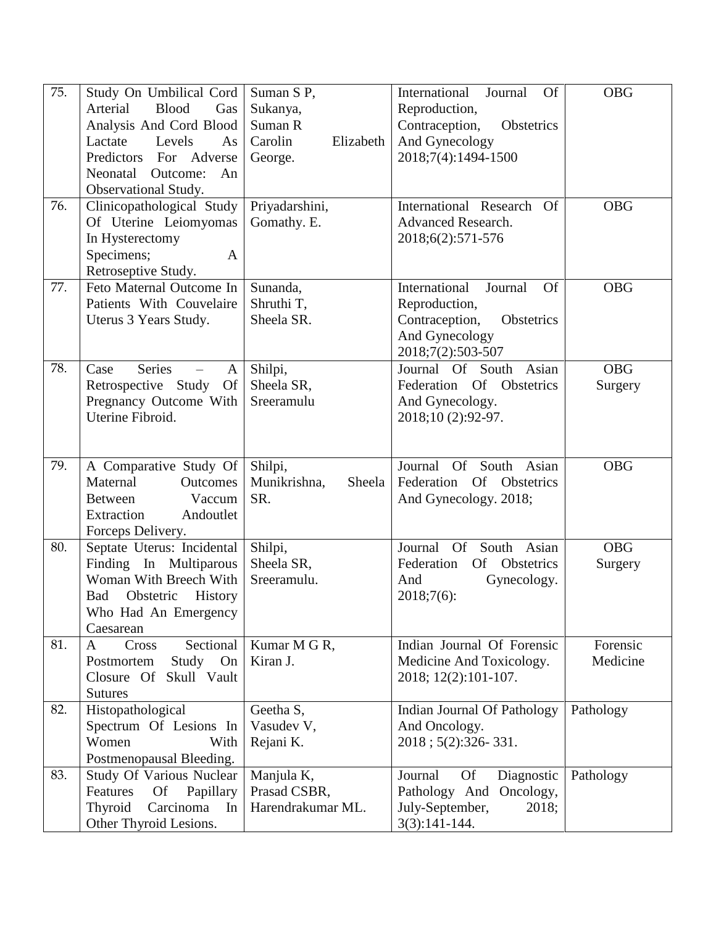| 75. | Study On Umbilical Cord<br><b>Blood</b><br>Arterial<br>Gas<br>Analysis And Cord Blood<br>Lactate<br>Levels<br>As<br>Predictors For Adverse<br>Neonatal<br>Outcome:<br>An<br>Observational Study. | Suman S P,<br>Sukanya,<br>Suman R<br>Carolin<br>Elizabeth<br>George. | International<br>Journal<br><b>Of</b><br>Reproduction,<br>Contraception,<br>Obstetrics<br>And Gynecology<br>2018;7(4):1494-1500 | <b>OBG</b>            |
|-----|--------------------------------------------------------------------------------------------------------------------------------------------------------------------------------------------------|----------------------------------------------------------------------|---------------------------------------------------------------------------------------------------------------------------------|-----------------------|
| 76. | Clinicopathological Study<br>Of Uterine Leiomyomas<br>In Hysterectomy<br>Specimens;<br>$\mathbf{A}$<br>Retroseptive Study.                                                                       | Priyadarshini,<br>Gomathy. E.                                        | International Research Of<br><b>Advanced Research.</b><br>2018;6(2):571-576                                                     | <b>OBG</b>            |
| 77. | Feto Maternal Outcome In<br>Patients With Couvelaire<br>Uterus 3 Years Study.                                                                                                                    | Sunanda,<br>Shruthi T,<br>Sheela SR.                                 | International<br>Journal<br><b>Of</b><br>Reproduction,<br>Contraception,<br>Obstetrics<br>And Gynecology<br>2018;7(2):503-507   | <b>OBG</b>            |
| 78. | <b>Series</b><br>Case<br>$\mathbf{A}$<br>Retrospective Study<br><b>Of</b><br>Pregnancy Outcome With<br>Uterine Fibroid.                                                                          | Shilpi,<br>Sheela SR,<br>Sreeramulu                                  | Journal Of South Asian<br>Federation Of Obstetrics<br>And Gynecology.<br>2018;10 (2):92-97.                                     | <b>OBG</b><br>Surgery |
| 79. | A Comparative Study Of<br>Maternal<br>Outcomes<br>Vaccum<br><b>Between</b><br>Extraction<br>Andoutlet<br>Forceps Delivery.                                                                       | Shilpi,<br>Munikrishna,<br>Sheela<br>SR.                             | Journal Of South Asian<br>Federation Of<br>Obstetrics<br>And Gynecology. 2018;                                                  | <b>OBG</b>            |
| 80. | Septate Uterus: Incidental<br>Finding In Multiparous<br>Woman With Breech With<br>Obstetric<br>History<br>Bad<br>Who Had An Emergency<br>Caesarean                                               | Shilpi,<br>Sheela SR,<br>Sreeramulu.                                 | Journal<br>Asian<br><b>Of</b><br>South<br>Federation<br>Of Obstetrics<br>And<br>Gynecology.<br>$2018;7(6)$ :                    | <b>OBG</b><br>Surgery |
| 81. | Sectional<br>A<br>Cross<br>Study<br>Postmortem<br>On<br>Skull Vault<br>Closure Of<br><b>Sutures</b>                                                                                              | Kumar M G R,<br>Kiran J.                                             | Indian Journal Of Forensic<br>Medicine And Toxicology.<br>2018; 12(2):101-107.                                                  | Forensic<br>Medicine  |
| 82. | Histopathological<br>Spectrum Of Lesions In<br>Women<br>With<br>Postmenopausal Bleeding.                                                                                                         | Geetha S,<br>Vasudev V,<br>Rejani K.                                 | Indian Journal Of Pathology<br>And Oncology.<br>2018; 5(2):326-331.                                                             | Pathology             |
| 83. | <b>Study Of Various Nuclear</b><br>Papillary<br>Features<br><b>Of</b><br>Carcinoma<br>Thyroid<br>In<br>Other Thyroid Lesions.                                                                    | Manjula K,<br>Prasad CSBR,<br>Harendrakumar ML.                      | <b>Of</b><br>Diagnostic<br>Journal<br>Pathology And<br>Oncology,<br>July-September,<br>2018;<br>$3(3):141-144.$                 | Pathology             |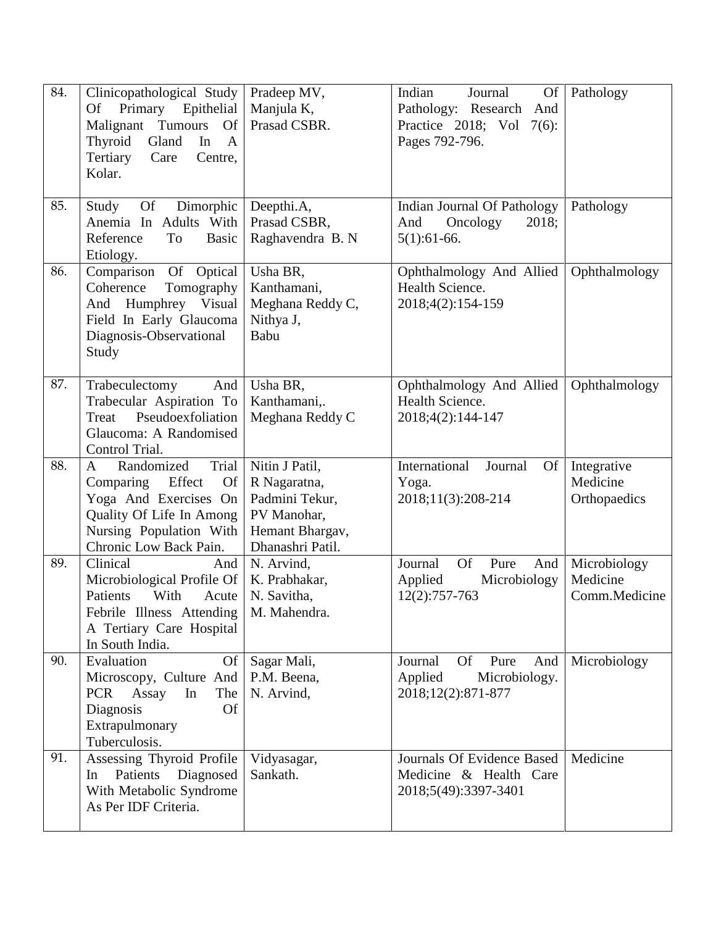| 84. | Clinicopathological Study<br>Primary<br>Of<br>Epithelial<br>Tumours<br>Malignant<br><b>Of</b><br>Thyroid<br>Gland<br>In<br>$\mathbf{A}$<br>Tertiary<br>Care<br>Centre,<br>Kolar.    | Pradeep MV,<br>Manjula K,<br>Prasad CSBR.                                                              | Indian<br>Journal<br>Of<br>Pathology: Research<br>And<br>Practice 2018; Vol 7(6):<br>Pages 792-796. | Pathology                                 |
|-----|-------------------------------------------------------------------------------------------------------------------------------------------------------------------------------------|--------------------------------------------------------------------------------------------------------|-----------------------------------------------------------------------------------------------------|-------------------------------------------|
| 85. | Of<br>Dimorphic<br>Study<br>Anemia In Adults With<br>Reference<br><b>To</b><br><b>Basic</b><br>Etiology.                                                                            | Deepthi.A,<br>Prasad CSBR,<br>Raghavendra B. N                                                         | Indian Journal Of Pathology<br>And<br>Oncology<br>2018;<br>$5(1):61-66.$                            | Pathology                                 |
| 86. | Comparison<br>Of Optical<br>Coherence<br>Tomography<br>And Humphrey Visual<br>Field In Early Glaucoma<br>Diagnosis-Observational<br>Study                                           | Usha BR,<br>Kanthamani,<br>Meghana Reddy C,<br>Nithya J,<br>Babu                                       | Ophthalmology And Allied<br>Health Science.<br>2018;4(2):154-159                                    | Ophthalmology                             |
| 87. | And<br>Trabeculectomy<br>Trabecular Aspiration To<br>Pseudoexfoliation<br>Treat<br>Glaucoma: A Randomised<br>Control Trial.                                                         | Usha BR,<br>Kanthamani,.<br>Meghana Reddy C                                                            | Ophthalmology And Allied<br>Health Science.<br>2018;4(2):144-147                                    | Ophthalmology                             |
| 88. | Randomized<br>Trial<br>$\overline{A}$<br>Comparing<br>Effect<br><b>Of</b><br>Yoga And Exercises On<br>Quality Of Life In Among<br>Nursing Population With<br>Chronic Low Back Pain. | Nitin J Patil,<br>R Nagaratna,<br>Padmini Tekur,<br>PV Manohar,<br>Hemant Bhargav,<br>Dhanashri Patil. | International<br>Journal<br>Of<br>Yoga.<br>2018;11(3):208-214                                       | Integrative<br>Medicine<br>Orthopaedics   |
| 89. | Clinical<br>And<br>Microbiological Profile Of<br>Patients<br>With<br>Acute<br>Febrile Illness Attending   M. Mahendra.<br>A Tertiary Care Hospital<br>In South India.               | N. Arvind,<br>K. Prabhakar,<br>N. Savitha,                                                             | <b>Of</b><br>Pure<br>Journal<br>And<br>Microbiology<br>Applied<br>12(2):757-763                     | Microbiology<br>Medicine<br>Comm.Medicine |
| 90. | Evaluation<br>Of<br>Microscopy, Culture And<br>The<br><b>PCR</b><br>Assay<br>In<br>Diagnosis<br><b>Of</b><br>Extrapulmonary<br>Tuberculosis.                                        | Sagar Mali,<br>P.M. Beena,<br>N. Arvind,                                                               | Journal<br><b>Of</b><br>Pure<br>And<br>Applied<br>Microbiology.<br>2018;12(2):871-877               | Microbiology                              |
| 91. | Assessing Thyroid Profile<br>Patients Diagnosed<br>In<br>With Metabolic Syndrome<br>As Per IDF Criteria.                                                                            | Vidyasagar,<br>Sankath.                                                                                | Journals Of Evidence Based<br>Medicine & Health Care<br>2018;5(49):3397-3401                        | Medicine                                  |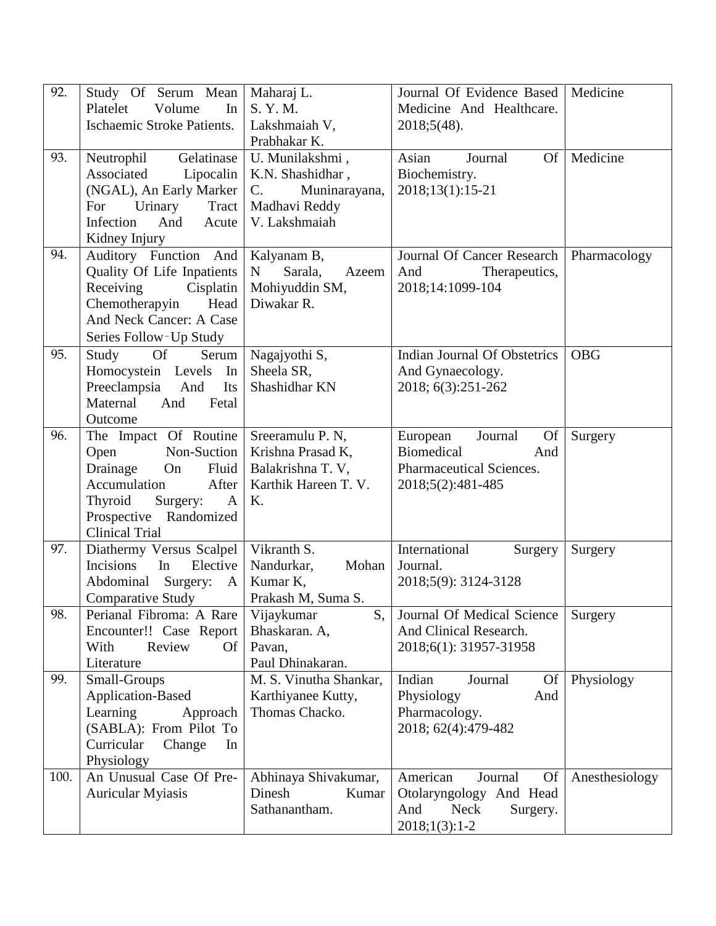| 92.  | Study Of Serum Mean<br>Volume<br>Platelet<br>In<br><b>Ischaemic Stroke Patients.</b>                                                                                                       | Maharaj L.<br>S. Y. M.                                                                                | Journal Of Evidence Based  <br>Medicine And Healthcare.                                                          | Medicine       |
|------|--------------------------------------------------------------------------------------------------------------------------------------------------------------------------------------------|-------------------------------------------------------------------------------------------------------|------------------------------------------------------------------------------------------------------------------|----------------|
|      |                                                                                                                                                                                            | Lakshmaiah V,<br>Prabhakar K.                                                                         | $2018;5(48)$ .                                                                                                   |                |
| 93.  | Gelatinase<br>Neutrophil<br>Associated<br>Lipocalin<br>(NGAL), An Early Marker<br>Urinary<br>Tract<br>For<br>Infection<br>And<br>Acute<br>Kidney Injury                                    | U. Munilakshmi,<br>K.N. Shashidhar,<br>Muninarayana,<br>$C_{\cdot}$<br>Madhavi Reddy<br>V. Lakshmaiah | Asian<br>Journal<br>Of  <br>Biochemistry.<br>2018;13(1):15-21                                                    | Medicine       |
| 94.  | Auditory Function And<br>Quality Of Life Inpatients<br>Receiving<br>Cisplatin<br>Chemotherapyin<br>Head<br>And Neck Cancer: A Case<br>Series Follow-Up Study                               | Kalyanam B,<br>Sarala,<br>$\mathbf N$<br>Azeem<br>Mohiyuddin SM,<br>Diwakar R.                        | Journal Of Cancer Research   Pharmacology<br>And<br>Therapeutics,<br>2018;14:1099-104                            |                |
| 95.  | Study<br>Of<br>Serum<br>Homocystein Levels<br>In<br>Preeclampsia<br>And<br>Its<br>Maternal<br>And<br>Fetal<br>Outcome                                                                      | Nagajyothi S,<br>Sheela SR,<br>Shashidhar KN                                                          | Indian Journal Of Obstetrics<br>And Gynaecology.<br>2018; 6(3):251-262                                           | <b>OBG</b>     |
| 96.  | The Impact Of Routine<br>Non-Suction<br>Open<br>Drainage<br>Fluid<br>On<br>Accumulation<br>After<br>Thyroid<br>Surgery:<br>$\mathbf{A}$<br>Prospective Randomized<br><b>Clinical Trial</b> | Sreeramulu P. N,<br>Krishna Prasad K,<br>Balakrishna T. V,<br>Karthik Hareen T. V.<br>K.              | Journal<br>European<br>Of<br><b>Biomedical</b><br>And<br>Pharmaceutical Sciences.<br>2018;5(2):481-485           | Surgery        |
| 97.  | Diathermy Versus Scalpel<br>Elective<br>Incisions<br>In<br>Abdominal<br>Surgery:<br>A<br><b>Comparative Study</b>                                                                          | Vikranth S.<br>Nandurkar,<br>Mohan<br>Kumar K,<br>Prakash M, Suma S.                                  | International<br>Surgery<br>Journal.<br>2018;5(9): 3124-3128                                                     | Surgery        |
| 98.  | Perianal Fibroma: A Rare<br>Encounter!! Case Report<br>With<br>Review<br><b>Of</b><br>Literature                                                                                           | Vijaykumar<br>S,<br>Bhaskaran. A,<br>Pavan,<br>Paul Dhinakaran.                                       | Journal Of Medical Science<br>And Clinical Research.<br>2018;6(1): 31957-31958                                   | Surgery        |
| 99.  | Small-Groups<br>Application-Based<br>Learning<br>Approach<br>(SABLA): From Pilot To<br>Curricular<br>Change<br>In<br>Physiology                                                            | M. S. Vinutha Shankar,<br>Karthiyanee Kutty,<br>Thomas Chacko.                                        | Indian<br>Journal<br><b>Of</b><br>Physiology<br>And<br>Pharmacology.<br>2018; 62(4):479-482                      | Physiology     |
| 100. | An Unusual Case Of Pre-<br><b>Auricular Myiasis</b>                                                                                                                                        | Abhinaya Shivakumar,<br>Dinesh<br>Kumar<br>Sathanantham.                                              | American<br><b>Of</b><br>Journal<br>Otolaryngology And Head<br>And<br><b>Neck</b><br>Surgery.<br>$2018;1(3):1-2$ | Anesthesiology |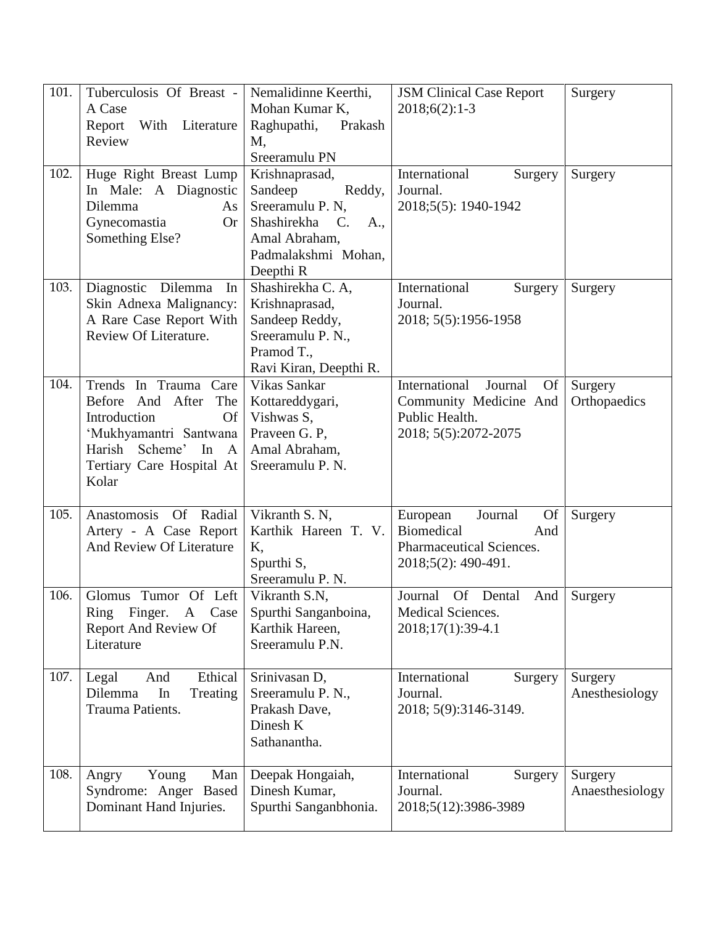| 101. | Tuberculosis Of Breast -             | Nemalidinne Keerthi,                  | <b>JSM Clinical Case Report</b>       | Surgery         |
|------|--------------------------------------|---------------------------------------|---------------------------------------|-----------------|
|      | A Case                               | Mohan Kumar K,                        | $2018;6(2):1-3$                       |                 |
|      | With Literature<br>Report            | Raghupathi, Prakash                   |                                       |                 |
|      | Review                               | Μ,                                    |                                       |                 |
|      |                                      | Sreeramulu PN                         |                                       |                 |
| 102. | Huge Right Breast Lump               | Krishnaprasad,                        | International<br>Surgery              | Surgery         |
|      | In Male: A Diagnostic                | Sandeep<br>Reddy,                     | Journal.                              |                 |
|      | Dilemma<br>As                        | Sreeramulu P. N,                      | 2018;5(5): 1940-1942                  |                 |
|      | Gynecomastia<br><b>Or</b>            | Shashirekha<br>$\mathcal{C}$ .<br>A., |                                       |                 |
|      | Something Else?                      | Amal Abraham,                         |                                       |                 |
|      |                                      | Padmalakshmi Mohan,                   |                                       |                 |
|      |                                      | Deepthi R                             |                                       |                 |
| 103. | Diagnostic Dilemma<br>In             | Shashirekha C. A,                     | International<br>Surgery              | Surgery         |
|      | Skin Adnexa Malignancy:              | Krishnaprasad,                        | Journal.                              |                 |
|      | A Rare Case Report With              | Sandeep Reddy,                        | 2018; 5(5):1956-1958                  |                 |
|      | Review Of Literature.                | Sreeramulu P. N.,                     |                                       |                 |
|      |                                      | Pramod T.,                            |                                       |                 |
|      |                                      | Ravi Kiran, Deepthi R.                |                                       |                 |
| 104. | Trends In Trauma Care                | Vikas Sankar                          | International<br>Journal<br><b>Of</b> | Surgery         |
|      | Before And After<br>The              | Kottareddygari,                       | Community Medicine And                | Orthopaedics    |
|      | Introduction<br><b>Of</b>            | Vishwas S,                            | Public Health.                        |                 |
|      | 'Mukhyamantri Santwana               | Praveen G. P,                         | 2018; 5(5):2072-2075                  |                 |
|      | Harish Scheme'<br>In<br>$\mathbf{A}$ | Amal Abraham,                         |                                       |                 |
|      | Tertiary Care Hospital At            | Sreeramulu P. N.                      |                                       |                 |
|      | Kolar                                |                                       |                                       |                 |
|      |                                      |                                       |                                       |                 |
| 105. | Anastomosis Of Radial                | Vikranth S. N,                        | European<br>Journal<br><b>Of</b>      | Surgery         |
|      | Artery - A Case Report               | Karthik Hareen T. V.                  | Biomedical<br>And                     |                 |
|      | And Review Of Literature             | K,                                    | Pharmaceutical Sciences.              |                 |
|      |                                      | Spurthi S,                            | 2018;5(2): 490-491.                   |                 |
|      |                                      | Sreeramulu P. N.                      |                                       |                 |
| 106. | Glomus Tumor Of Left                 | Vikranth S.N,                         | Journal<br>Of Dental<br>And           | Surgery         |
|      | Ring Finger. A Case                  | Spurthi Sanganboina,                  | Medical Sciences.                     |                 |
|      | <b>Report And Review Of</b>          | Karthik Hareen,                       | 2018;17(1):39-4.1                     |                 |
|      | Literature                           | Sreeramulu P.N.                       |                                       |                 |
|      |                                      |                                       |                                       |                 |
| 107. | Ethical<br>Legal<br>And              | Srinivasan D,                         | International<br>Surgery              | Surgery         |
|      | In<br>Dilemma<br>Treating            | Sreeramulu P. N.,                     | Journal.                              | Anesthesiology  |
|      | Trauma Patients.                     | Prakash Dave,                         | 2018; 5(9):3146-3149.                 |                 |
|      |                                      | Dinesh K                              |                                       |                 |
|      |                                      | Sathanantha.                          |                                       |                 |
|      |                                      |                                       |                                       |                 |
| 108. | Young<br>Man<br>Angry                | Deepak Hongaiah,                      | International<br>Surgery              | Surgery         |
|      | Syndrome: Anger Based                | Dinesh Kumar,                         | Journal.                              | Anaesthesiology |
|      | Dominant Hand Injuries.              | Spurthi Sanganbhonia.                 | 2018;5(12):3986-3989                  |                 |
|      |                                      |                                       |                                       |                 |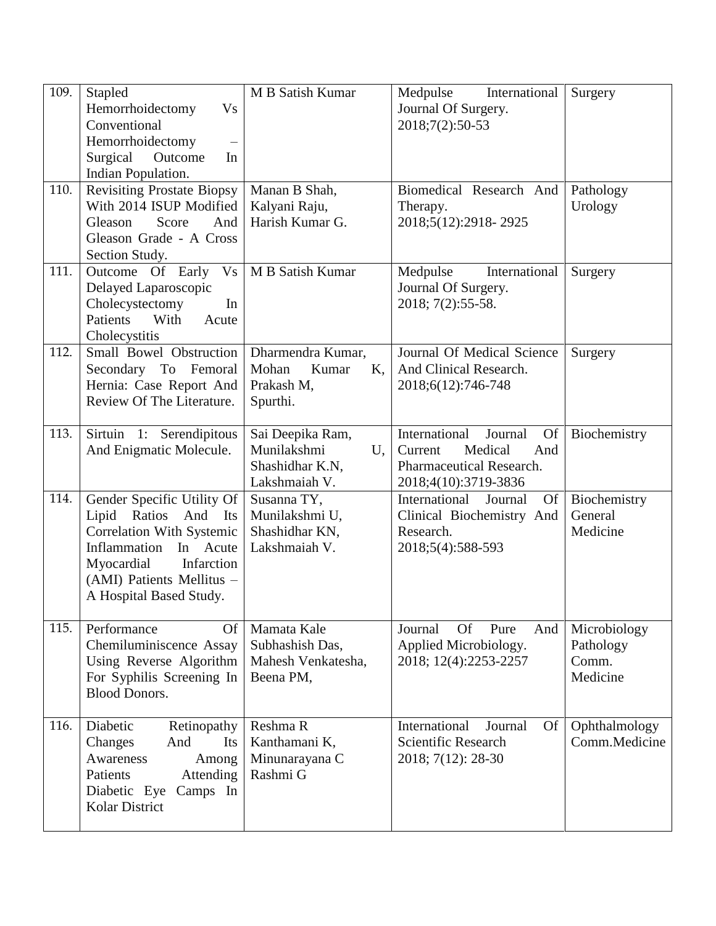| 109.<br>110. | Stapled<br>Hemorrhoidectomy<br><b>Vs</b><br>Conventional<br>Hemorrhoidectomy<br>$\overline{\phantom{0}}$<br>Surgical<br>Outcome<br>In<br>Indian Population.<br><b>Revisiting Prostate Biopsy</b>          | M B Satish Kumar<br>Manan B Shah,                                         | Medpulse<br>International<br>Journal Of Surgery.<br>2018;7(2):50-53<br>Biomedical Research And                         | Surgery<br>Pathology                           |
|--------------|-----------------------------------------------------------------------------------------------------------------------------------------------------------------------------------------------------------|---------------------------------------------------------------------------|------------------------------------------------------------------------------------------------------------------------|------------------------------------------------|
|              | With 2014 ISUP Modified<br>Gleason<br>Score<br>And<br>Gleason Grade - A Cross<br>Section Study.                                                                                                           | Kalyani Raju,<br>Harish Kumar G.                                          | Therapy.<br>2018;5(12):2918-2925                                                                                       | Urology                                        |
| 111.         | Outcome Of Early<br>V <sub>S</sub><br>Delayed Laparoscopic<br>Cholecystectomy<br>In<br>With<br>Patients<br>Acute<br>Cholecystitis                                                                         | M B Satish Kumar                                                          | Medpulse<br>International<br>Journal Of Surgery.<br>2018; 7(2):55-58.                                                  | Surgery                                        |
| 112.         | Small Bowel Obstruction<br>Secondary To Femoral<br>Hernia: Case Report And<br>Review Of The Literature.                                                                                                   | Dharmendra Kumar,<br>Mohan<br>Kumar<br>K,<br>Prakash M,<br>Spurthi.       | Journal Of Medical Science<br>And Clinical Research.<br>2018;6(12):746-748                                             | Surgery                                        |
| 113.         | Sirtuin 1: Serendipitous<br>And Enigmatic Molecule.                                                                                                                                                       | Sai Deepika Ram,<br>Munilakshmi<br>U,<br>Shashidhar K.N,<br>Lakshmaiah V. | International<br>Journal<br><b>Of</b><br>Current<br>Medical<br>And<br>Pharmaceutical Research.<br>2018;4(10):3719-3836 | Biochemistry                                   |
| 114.         | Gender Specific Utility Of<br>Lipid Ratios And<br>Its<br><b>Correlation With Systemic</b><br>Inflammation<br>In Acute<br>Myocardial<br>Infarction<br>(AMI) Patients Mellitus -<br>A Hospital Based Study. | Susanna TY,<br>Munilakshmi U,<br>Shashidhar KN,<br>Lakshmaiah V.          | International<br>Journal<br>Of<br>Clinical Biochemistry And<br>Research.<br>2018;5(4):588-593                          | Biochemistry<br>General<br>Medicine            |
| 115.         | Performance<br><b>Of</b><br>Chemiluminiscence Assay<br>Using Reverse Algorithm<br>For Syphilis Screening In<br><b>Blood Donors.</b>                                                                       | Mamata Kale<br>Subhashish Das,<br>Mahesh Venkatesha,<br>Beena PM,         | <b>Of</b><br>Journal<br>Pure<br>And<br>Applied Microbiology.<br>2018; 12(4):2253-2257                                  | Microbiology<br>Pathology<br>Comm.<br>Medicine |
| 116.         | Diabetic<br>Retinopathy<br>Changes<br>And<br>Its<br>Awareness<br>Among<br>Patients<br>Attending<br>Diabetic Eye<br>Camps In<br><b>Kolar District</b>                                                      | Reshma R<br>Kanthamani K,<br>Minunarayana C<br>Rashmi G                   | International<br>Journal<br><b>Of</b><br><b>Scientific Research</b><br>2018; 7(12): 28-30                              | Ophthalmology<br>Comm.Medicine                 |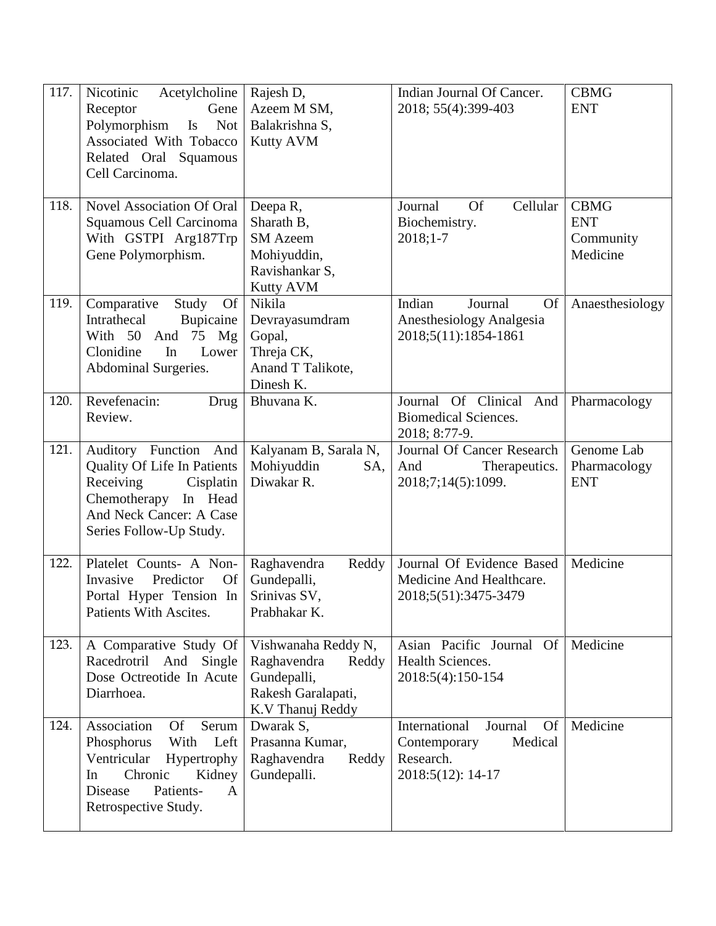| 117. | Nicotinic<br>Acetylcholine<br>Receptor<br>Gene<br>Polymorphism<br>$\mathbf{I}$ s<br><b>Not</b><br>Associated With Tobacco<br>Related Oral Squamous<br>Cell Carcinoma.         | Rajesh D,<br>Azeem M SM,<br>Balakrishna S,<br><b>Kutty AVM</b>                                       | Indian Journal Of Cancer.<br>2018; 55(4):399-403                                                   | <b>CBMG</b><br><b>ENT</b>                          |
|------|-------------------------------------------------------------------------------------------------------------------------------------------------------------------------------|------------------------------------------------------------------------------------------------------|----------------------------------------------------------------------------------------------------|----------------------------------------------------|
| 118. | <b>Novel Association Of Oral</b><br>Squamous Cell Carcinoma<br>With GSTPI Arg187Trp<br>Gene Polymorphism.                                                                     | Deepa R,<br>Sharath B,<br><b>SM</b> Azeem<br>Mohiyuddin,<br>Ravishankar S,<br><b>Kutty AVM</b>       | Cellular<br>Journal<br><b>Of</b><br>Biochemistry.<br>$2018;1-7$                                    | <b>CBMG</b><br><b>ENT</b><br>Community<br>Medicine |
| 119. | Comparative<br>Study Of<br>Intrathecal<br>Bupicaine<br>With 50 And 75 Mg<br>Lower<br>Clonidine<br>In<br>Abdominal Surgeries.                                                  | Nikila<br>Devrayasumdram<br>Gopal,<br>Threja CK,<br>Anand T Talikote,<br>Dinesh K.                   | Indian<br>Journal<br><b>Of</b><br>Anesthesiology Analgesia<br>2018;5(11):1854-1861                 | Anaesthesiology                                    |
| 120. | Revefenacin:<br>Drug<br>Review.                                                                                                                                               | Bhuvana K.                                                                                           | Journal Of Clinical And<br><b>Biomedical Sciences.</b><br>2018; 8:77-9.                            | Pharmacology                                       |
| 121. | Auditory Function And<br>Quality Of Life In Patients<br>Receiving<br>Cisplatin<br>Chemotherapy In Head<br>And Neck Cancer: A Case<br>Series Follow-Up Study.                  | Kalyanam B, Sarala N,<br>Mohiyuddin<br>SA,<br>Diwakar R.                                             | Journal Of Cancer Research<br>And<br>Therapeutics.<br>2018;7;14(5):1099.                           | Genome Lab<br>Pharmacology<br><b>ENT</b>           |
| 122. | Platelet Counts- A Non-<br>Predictor<br><b>Of</b><br>Invasive<br>Portal Hyper Tension In<br>Patients With Ascites.                                                            | Reddy<br>Raghavendra<br>Gundepalli,<br>Srinivas SV,<br>Prabhakar K.                                  | Journal Of Evidence Based<br>Medicine And Healthcare.<br>2018;5(51):3475-3479                      | Medicine                                           |
| 123. | A Comparative Study Of<br>Racedrotril And<br>Single<br>Dose Octreotide In Acute<br>Diarrhoea.                                                                                 | Vishwanaha Reddy N,<br>Raghavendra<br>Reddy<br>Gundepalli,<br>Rakesh Garalapati,<br>K.V Thanuj Reddy | Asian Pacific Journal Of<br>Health Sciences.<br>2018:5(4):150-154                                  | Medicine                                           |
| 124. | Association<br><b>Of</b><br>Serum<br>With<br>Left<br>Phosphorus<br>Ventricular<br>Hypertrophy<br>Chronic<br>Kidney<br>In<br>Disease<br>Patients-<br>A<br>Retrospective Study. | Dwarak S,<br>Prasanna Kumar,<br>Raghavendra<br>Reddy<br>Gundepalli.                                  | International<br>Journal<br><b>Of</b><br>Medical<br>Contemporary<br>Research.<br>2018:5(12): 14-17 | Medicine                                           |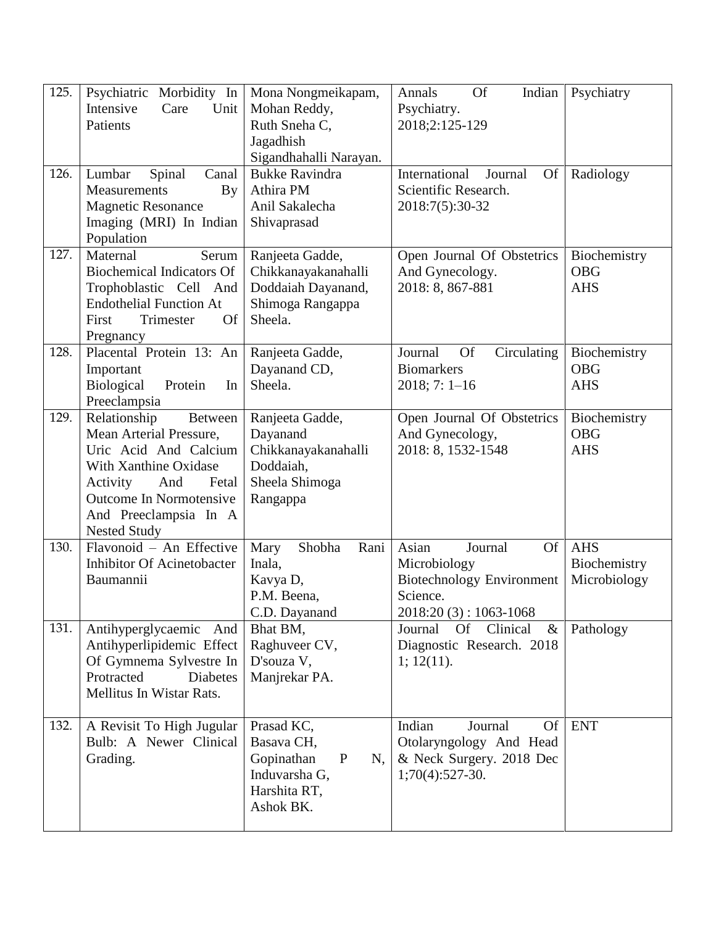| 125. | Psychiatric Morbidity In<br>Intensive<br>Unit<br>Care<br>Patients                                                                                                                                           | Mona Nongmeikapam,<br>Mohan Reddy,<br>Ruth Sneha C,<br>Jagadhish<br>Sigandhahalli Narayan.                 | <b>Of</b><br>Annals<br>Indian<br>Psychiatry.<br>2018;2:125-129                                                          | Psychiatry                                 |
|------|-------------------------------------------------------------------------------------------------------------------------------------------------------------------------------------------------------------|------------------------------------------------------------------------------------------------------------|-------------------------------------------------------------------------------------------------------------------------|--------------------------------------------|
| 126. | Spinal<br>Lumbar<br>Canal<br>Measurements<br><b>By</b><br><b>Magnetic Resonance</b><br>Imaging (MRI) In Indian<br>Population                                                                                | <b>Bukke Ravindra</b><br>Athira PM<br>Anil Sakalecha<br>Shivaprasad                                        | International<br>Journal<br>Of<br>Scientific Research.<br>2018:7(5):30-32                                               | Radiology                                  |
| 127. | Serum<br>Maternal<br><b>Biochemical Indicators Of</b><br>Trophoblastic Cell And<br><b>Endothelial Function At</b><br><b>Of</b><br>Trimester<br>First<br>Pregnancy                                           | Ranjeeta Gadde,<br>Chikkanayakanahalli<br>Doddaiah Dayanand,<br>Shimoga Rangappa<br>Sheela.                | Open Journal Of Obstetrics<br>And Gynecology.<br>2018: 8, 867-881                                                       | Biochemistry<br><b>OBG</b><br><b>AHS</b>   |
| 128. | Placental Protein 13: An<br>Important<br><b>Biological</b><br>Protein<br>In<br>Preeclampsia                                                                                                                 | Ranjeeta Gadde,<br>Dayanand CD,<br>Sheela.                                                                 | Journal<br><b>Of</b><br>Circulating<br><b>Biomarkers</b><br>$2018; 7: 1-16$                                             | Biochemistry<br><b>OBG</b><br><b>AHS</b>   |
| 129. | Relationship<br>Between<br>Mean Arterial Pressure,<br>Uric Acid And Calcium<br>With Xanthine Oxidase<br>Activity<br>Fetal<br>And<br>Outcome In Normotensive<br>And Preeclampsia In A<br><b>Nested Study</b> | Ranjeeta Gadde,<br>Dayanand<br>Chikkanayakanahalli<br>Doddaiah,<br>Sheela Shimoga<br>Rangappa              | Open Journal Of Obstetrics<br>And Gynecology,<br>2018: 8, 1532-1548                                                     | Biochemistry<br><b>OBG</b><br><b>AHS</b>   |
| 130. | Flavonoid - An Effective<br><b>Inhibitor Of Acinetobacter</b><br>Baumannii                                                                                                                                  | Mary<br>Shobha<br>Rani<br>Inala,<br>Kavya D,<br>P.M. Beena,<br>C.D. Dayanand                               | Asian<br>Journal<br><b>Of</b><br>Microbiology<br><b>Biotechnology Environment</b><br>Science.<br>$2018:20(3):1063-1068$ | <b>AHS</b><br>Biochemistry<br>Microbiology |
| 131. | Antihyperglycaemic And<br>Antihyperlipidemic Effect<br>Of Gymnema Sylvestre In<br>Protracted<br><b>Diabetes</b><br>Mellitus In Wistar Rats.                                                                 | Bhat BM,<br>Raghuveer CV,<br>D'souza V,<br>Manjrekar PA.                                                   | Journal<br><b>Of</b><br>Clinical<br>$\&$<br>Diagnostic Research. 2018<br>1; 12(11).                                     | Pathology                                  |
| 132. | A Revisit To High Jugular<br>Bulb: A Newer Clinical<br>Grading.                                                                                                                                             | Prasad KC,<br>Basava CH,<br>Gopinathan<br>$\mathbf{P}$<br>N,<br>Induvarsha G,<br>Harshita RT,<br>Ashok BK. | Indian<br><b>Of</b><br>Journal<br>Otolaryngology And Head<br>& Neck Surgery. 2018 Dec<br>$1;70(4):527-30.$              | <b>ENT</b>                                 |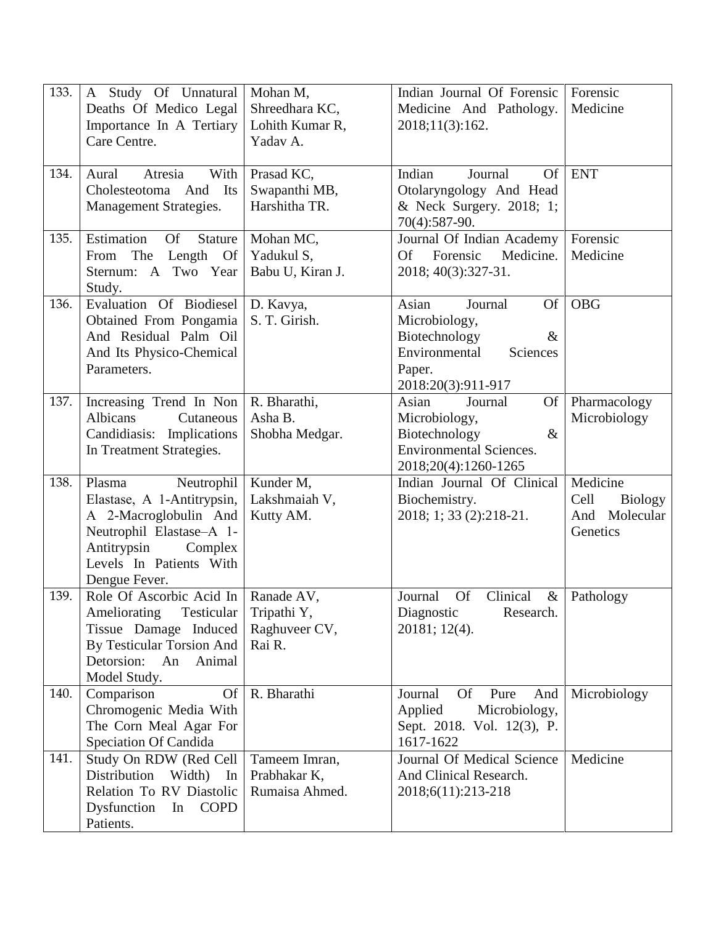| 133. | A Study Of Unnatural<br>Deaths Of Medico Legal<br>Importance In A Tertiary<br>Care Centre.                                                                                    | Mohan M,<br>Shreedhara KC,<br>Lohith Kumar R,<br>Yadav A. | Indian Journal Of Forensic<br>Medicine And Pathology.<br>2018;11(3):162.                                                      | Forensic<br>Medicine                                            |
|------|-------------------------------------------------------------------------------------------------------------------------------------------------------------------------------|-----------------------------------------------------------|-------------------------------------------------------------------------------------------------------------------------------|-----------------------------------------------------------------|
| 134. | Atresia<br>With<br>Aural<br>Cholesteotoma And<br>Its<br>Management Strategies.                                                                                                | Prasad KC,<br>Swapanthi MB,<br>Harshitha TR.              | Indian<br>Of<br>Journal<br>Otolaryngology And Head<br>& Neck Surgery. 2018; 1;<br>70(4):587-90.                               | <b>ENT</b>                                                      |
| 135. | Estimation<br><b>Of</b><br><b>Stature</b><br>The<br>Length Of<br>From<br>Sternum: A Two Year<br>Study.                                                                        | Mohan MC,<br>Yadukul S,<br>Babu U, Kiran J.               | Journal Of Indian Academy<br>Of Forensic<br>Medicine.<br>2018; 40(3):327-31.                                                  | Forensic<br>Medicine                                            |
| 136. | Evaluation Of Biodiesel<br>Obtained From Pongamia<br>And Residual Palm Oil<br>And Its Physico-Chemical<br>Parameters.                                                         | D. Kavya,<br>S. T. Girish.                                | Asian<br>Journal<br>Of<br>Microbiology,<br>Biotechnology<br>$\&$<br>Environmental<br>Sciences<br>Paper.<br>2018:20(3):911-917 | <b>OBG</b>                                                      |
| 137. | Increasing Trend In Non<br><b>Albicans</b><br>Cutaneous<br>Candidiasis: Implications<br>In Treatment Strategies.                                                              | R. Bharathi,<br>Asha B.<br>Shobha Medgar.                 | Of<br>Asian<br>Journal<br>Microbiology,<br>Biotechnology<br>$\&$<br><b>Environmental Sciences.</b><br>2018;20(4):1260-1265    | Pharmacology<br>Microbiology                                    |
| 138. | Plasma<br>Neutrophil<br>Elastase, A 1-Antitrypsin,<br>A 2-Macroglobulin And<br>Neutrophil Elastase-A 1-<br>Antitrypsin<br>Complex<br>Levels In Patients With<br>Dengue Fever. | Kunder M,<br>Lakshmaiah V,<br>Kutty AM.                   | Indian Journal Of Clinical<br>Biochemistry.<br>2018; 1; 33 (2):218-21.                                                        | Medicine<br>Cell<br><b>Biology</b><br>And Molecular<br>Genetics |
| 139. | Role Of Ascorbic Acid In<br>Ameliorating<br>Testicular<br>Tissue Damage Induced<br>By Testicular Torsion And<br>Detorsion:<br>An<br>Animal<br>Model Study.                    | Ranade AV,<br>Tripathi Y,<br>Raghuveer CV,<br>Rai R.      | <b>Of</b><br>Clinical<br>Journal<br>$\&$<br>Research.<br>Diagnostic<br>20181; 12(4).                                          | Pathology                                                       |
| 140. | Comparison<br><b>Of</b><br>Chromogenic Media With<br>The Corn Meal Agar For<br>Speciation Of Candida                                                                          | R. Bharathi                                               | Journal<br><b>Of</b><br>Pure<br>And<br>Applied<br>Microbiology,<br>Sept. 2018. Vol. 12(3), P.<br>1617-1622                    | Microbiology                                                    |
| 141. | Study On RDW (Red Cell<br>Distribution<br>Width)<br>In<br>Relation To RV Diastolic<br>Dysfunction<br><b>COPD</b><br>In<br>Patients.                                           | Tameem Imran,<br>Prabhakar K,<br>Rumaisa Ahmed.           | Journal Of Medical Science<br>And Clinical Research.<br>2018;6(11):213-218                                                    | Medicine                                                        |